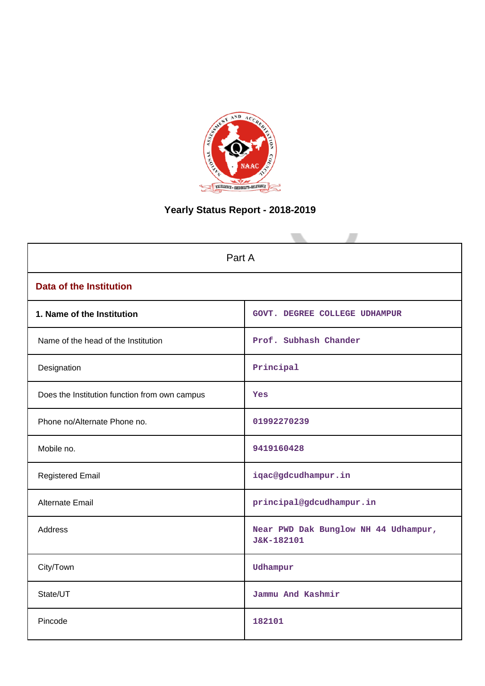

# **Yearly Status Report - 2018-2019**

| Part A                                        |                                                    |  |  |  |  |
|-----------------------------------------------|----------------------------------------------------|--|--|--|--|
| <b>Data of the Institution</b>                |                                                    |  |  |  |  |
| 1. Name of the Institution                    | GOVT. DEGREE COLLEGE UDHAMPUR                      |  |  |  |  |
| Name of the head of the Institution           | Prof. Subhash Chander                              |  |  |  |  |
| Designation                                   | Principal                                          |  |  |  |  |
| Does the Institution function from own campus | Yes                                                |  |  |  |  |
| Phone no/Alternate Phone no.                  | 01992270239                                        |  |  |  |  |
| Mobile no.                                    | 9419160428                                         |  |  |  |  |
| <b>Registered Email</b>                       | iqac@gdcudhampur.in                                |  |  |  |  |
| Alternate Email                               | principal@gdcudhampur.in                           |  |  |  |  |
| Address                                       | Near PWD Dak Bunglow NH 44 Udhampur,<br>J&K-182101 |  |  |  |  |
| City/Town                                     | Udhampur                                           |  |  |  |  |
| State/UT                                      | Jammu And Kashmir                                  |  |  |  |  |
| Pincode                                       | 182101                                             |  |  |  |  |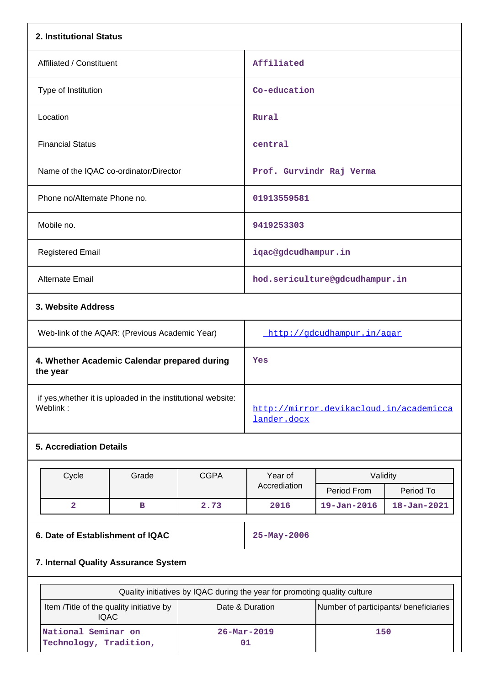| 2. Institutional Status                                                  |                                                        |
|--------------------------------------------------------------------------|--------------------------------------------------------|
| Affiliated / Constituent                                                 | Affiliated                                             |
| Type of Institution                                                      | Co-education                                           |
| Location                                                                 | Rural                                                  |
| <b>Financial Status</b>                                                  | central                                                |
| Name of the IQAC co-ordinator/Director                                   | Prof. Gurvindr Raj Verma                               |
| Phone no/Alternate Phone no.                                             | 01913559581                                            |
| Mobile no.                                                               | 9419253303                                             |
| <b>Registered Email</b>                                                  | iqac@gdcudhampur.in                                    |
| Alternate Email                                                          | hod.sericulture@gdcudhampur.in                         |
| 3. Website Address                                                       |                                                        |
| Web-link of the AQAR: (Previous Academic Year)                           | http://gdcudhampur.in/agar                             |
| 4. Whether Academic Calendar prepared during<br>the year                 | Yes                                                    |
| if yes, whether it is uploaded in the institutional website:<br>Weblink: | http://mirror.devikacloud.in/academicca<br>lander.docx |

# **5. Accrediation Details**

|                                                                                                     | Cycle | Grade | <b>CGPA</b> | Year of                                                                   | Validity          |                   |  |
|-----------------------------------------------------------------------------------------------------|-------|-------|-------------|---------------------------------------------------------------------------|-------------------|-------------------|--|
|                                                                                                     |       |       |             | Accrediation                                                              | Period From       | Period To         |  |
|                                                                                                     | 2     | в     | 2.73        | 2016                                                                      | $19 - Jan - 2016$ | $18 - Jan - 2021$ |  |
|                                                                                                     |       |       |             |                                                                           |                   |                   |  |
| $25 - May - 2006$<br>6. Date of Establishment of IQAC                                               |       |       |             |                                                                           |                   |                   |  |
| 7. Internal Quality Assurance System                                                                |       |       |             |                                                                           |                   |                   |  |
|                                                                                                     |       |       |             |                                                                           |                   |                   |  |
|                                                                                                     |       |       |             | Quality initiatives by IQAC during the year for promoting quality culture |                   |                   |  |
| Number of participants/ beneficiaries<br>Item Title of the quality initiative by<br>Date & Duration |       |       |             |                                                                           |                   |                   |  |

| Therm / Fitte of the quality imitative by<br>IQAC | Dale & Duration                | <b>Trumper of participants, perienciane</b> |
|---------------------------------------------------|--------------------------------|---------------------------------------------|
| National Seminar on<br>Technology, Tradition,     | $26 - \text{Mar} - 2019$<br>01 | 150                                         |
|                                                   |                                |                                             |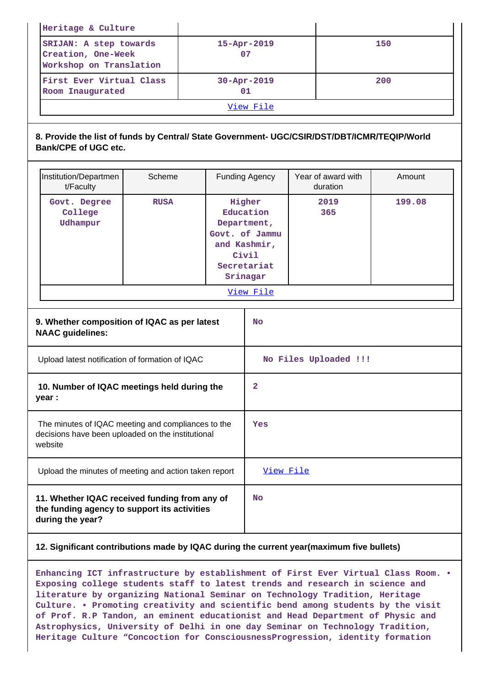|                                                                                                                    | Heritage & Culture                                                                                                          |             |                                                                                                          |           |                       |                                |        |  |
|--------------------------------------------------------------------------------------------------------------------|-----------------------------------------------------------------------------------------------------------------------------|-------------|----------------------------------------------------------------------------------------------------------|-----------|-----------------------|--------------------------------|--------|--|
|                                                                                                                    | SRIJAN: A step towards<br>Creation, One-Week<br>Workshop on Translation                                                     |             |                                                                                                          |           | 15-Apr-2019<br>07     |                                | 150    |  |
|                                                                                                                    | First Ever Virtual Class<br>Room Inaugurated                                                                                |             |                                                                                                          |           | 30-Apr-2019<br>01     |                                | 200    |  |
|                                                                                                                    |                                                                                                                             |             |                                                                                                          |           | View File             |                                |        |  |
|                                                                                                                    | 8. Provide the list of funds by Central/ State Government- UGC/CSIR/DST/DBT/ICMR/TEQIP/World<br><b>Bank/CPE of UGC etc.</b> |             |                                                                                                          |           |                       |                                |        |  |
|                                                                                                                    | Institution/Departmen<br>t/Faculty                                                                                          | Scheme      |                                                                                                          |           | <b>Funding Agency</b> | Year of award with<br>duration | Amount |  |
|                                                                                                                    | Govt. Degree<br>College<br>Udhampur                                                                                         | <b>RUSA</b> | Higher<br>Education<br>Department,<br>Govt. of Jammu<br>and Kashmir,<br>Civil<br>Secretariat<br>Srinagar |           | 2019<br>365           | 199.08                         |        |  |
|                                                                                                                    |                                                                                                                             |             |                                                                                                          |           | View File             |                                |        |  |
|                                                                                                                    | 9. Whether composition of IQAC as per latest<br><b>NAAC</b> guidelines:                                                     |             |                                                                                                          |           | <b>No</b>             |                                |        |  |
|                                                                                                                    | Upload latest notification of formation of IQAC                                                                             |             |                                                                                                          |           | No Files Uploaded !!! |                                |        |  |
|                                                                                                                    | 10. Number of IQAC meetings held during the<br>year :                                                                       |             |                                                                                                          |           | 2                     |                                |        |  |
| The minutes of IQAC meeting and compliances to the<br>decisions have been uploaded on the institutional<br>website |                                                                                                                             | Yes         |                                                                                                          |           |                       |                                |        |  |
|                                                                                                                    | Upload the minutes of meeting and action taken report                                                                       |             |                                                                                                          | View File |                       |                                |        |  |
|                                                                                                                    | 11. Whether IQAC received funding from any of<br>the funding agency to support its activities<br>during the year?           |             |                                                                                                          |           | <b>No</b>             |                                |        |  |

# **12. Significant contributions made by IQAC during the current year(maximum five bullets)**

**Enhancing ICT infrastructure by establishment of First Ever Virtual Class Room. • Exposing college students staff to latest trends and research in science and literature by organizing National Seminar on Technology Tradition, Heritage Culture. • Promoting creativity and scientific bend among students by the visit of Prof. R.P Tandon, an eminent educationist and Head Department of Physic and Astrophysics, University of Delhi in one day Seminar on Technology Tradition, Heritage Culture "Concoction for ConsciousnessProgression, identity formation**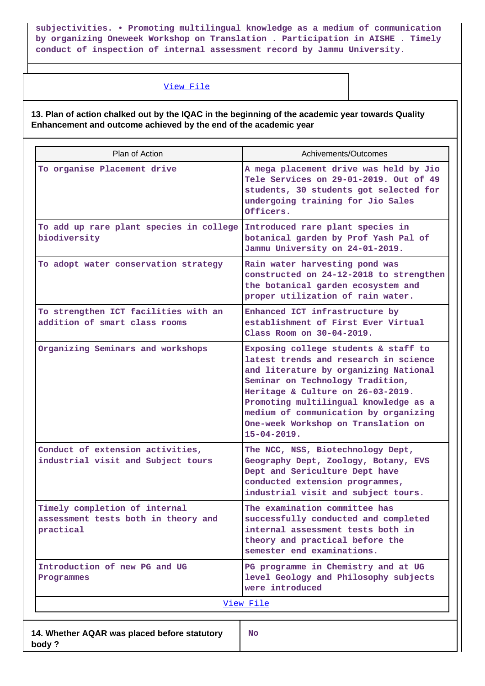**subjectivities. • Promoting multilingual knowledge as a medium of communication by organizing Oneweek Workshop on Translation . Participation in AISHE . Timely conduct of inspection of internal assessment record by Jammu University.**

# [View File](https://assessmentonline.naac.gov.in/public/Postacc/Contribution/10220_Contribution.xlsx)

**13. Plan of action chalked out by the IQAC in the beginning of the academic year towards Quality Enhancement and outcome achieved by the end of the academic year**

| Plan of Action                                                                    | Achivements/Outcomes                                                                                                                                                                                                                                                                                                                          |
|-----------------------------------------------------------------------------------|-----------------------------------------------------------------------------------------------------------------------------------------------------------------------------------------------------------------------------------------------------------------------------------------------------------------------------------------------|
| To organise Placement drive                                                       | A mega placement drive was held by Jio<br>Tele Services on 29-01-2019. Out of 49<br>students, 30 students got selected for<br>undergoing training for Jio Sales<br>Officers.                                                                                                                                                                  |
| To add up rare plant species in college<br>biodiversity                           | Introduced rare plant species in<br>botanical garden by Prof Yash Pal of<br>Jammu University on 24-01-2019.                                                                                                                                                                                                                                   |
| To adopt water conservation strategy                                              | Rain water harvesting pond was<br>constructed on 24-12-2018 to strengthen<br>the botanical garden ecosystem and<br>proper utilization of rain water.                                                                                                                                                                                          |
| To strengthen ICT facilities with an<br>addition of smart class rooms             | Enhanced ICT infrastructure by<br>establishment of First Ever Virtual<br>Class Room on 30-04-2019.                                                                                                                                                                                                                                            |
| Organizing Seminars and workshops                                                 | Exposing college students & staff to<br>latest trends and research in science<br>and literature by organizing National<br>Seminar on Technology Tradition,<br>Heritage & Culture on 26-03-2019.<br>Promoting multilingual knowledge as a<br>medium of communication by organizing<br>One-week Workshop on Translation on<br>$15 - 04 - 2019.$ |
| Conduct of extension activities,<br>industrial visit and Subject tours            | The NCC, NSS, Biotechnology Dept,<br>Geography Dept, Zoology, Botany, EVS<br>Dept and Sericulture Dept have<br>conducted extension programmes,<br>industrial visit and subject tours.                                                                                                                                                         |
| Timely completion of internal<br>assessment tests both in theory and<br>practical | The examination committee has<br>successfully conducted and completed<br>internal assessment tests both in<br>theory and practical before the<br>semester end examinations.                                                                                                                                                                   |
| Introduction of new PG and UG<br>Programmes                                       | PG programme in Chemistry and at UG<br>level Geology and Philosophy subjects<br>were introduced                                                                                                                                                                                                                                               |
|                                                                                   | <u>View File</u>                                                                                                                                                                                                                                                                                                                              |
| 14. Whether AQAR was placed before statutory<br>body?                             | No                                                                                                                                                                                                                                                                                                                                            |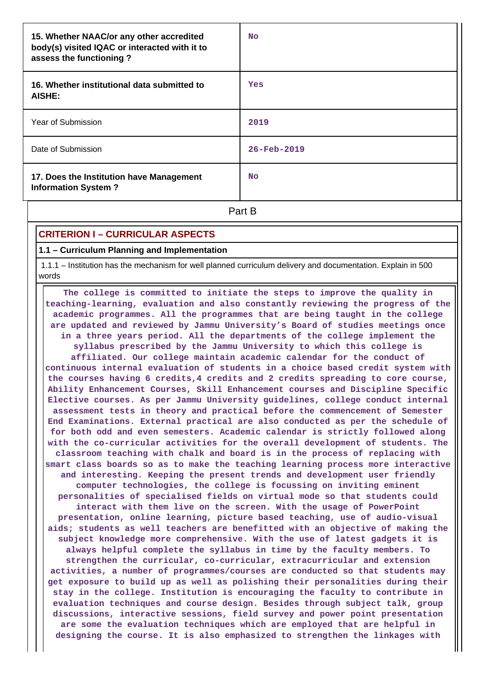| 15. Whether NAAC/or any other accredited<br>body(s) visited IQAC or interacted with it to<br>assess the functioning? | <b>No</b>         |
|----------------------------------------------------------------------------------------------------------------------|-------------------|
| 16. Whether institutional data submitted to<br>AISHE:                                                                | Yes               |
| Year of Submission                                                                                                   | 2019              |
| Date of Submission                                                                                                   | $26 - Feb - 2019$ |
| 17. Does the Institution have Management<br><b>Information System?</b>                                               | <b>No</b>         |
|                                                                                                                      | Part B            |

# **CRITERION I – CURRICULAR ASPECTS**

**1.1 – Curriculum Planning and Implementation**

 1.1.1 – Institution has the mechanism for well planned curriculum delivery and documentation. Explain in 500 words

 **The college is committed to initiate the steps to improve the quality in teaching-learning, evaluation and also constantly reviewing the progress of the academic programmes. All the programmes that are being taught in the college are updated and reviewed by Jammu University's Board of studies meetings once in a three years period. All the departments of the college implement the syllabus prescribed by the Jammu University to which this college is affiliated. Our college maintain academic calendar for the conduct of continuous internal evaluation of students in a choice based credit system with the courses having 6 credits,4 credits and 2 credits spreading to core course, Ability Enhancement Courses, Skill Enhancement courses and Discipline Specific Elective courses. As per Jammu University guidelines, college conduct internal assessment tests in theory and practical before the commencement of Semester End Examinations. External practical are also conducted as per the schedule of for both odd and even semesters. Academic calendar is strictly followed along with the co-curricular activities for the overall development of students. The classroom teaching with chalk and board is in the process of replacing with smart class boards so as to make the teaching learning process more interactive and interesting. Keeping the present trends and development user friendly computer technologies, the college is focussing on inviting eminent personalities of specialised fields on virtual mode so that students could interact with them live on the screen. With the usage of PowerPoint presentation, online learning, picture based teaching, use of audio-visual aids; students as well teachers are benefitted with an objective of making the subject knowledge more comprehensive. With the use of latest gadgets it is always helpful complete the syllabus in time by the faculty members. To strengthen the curricular, co-curricular, extracurricular and extension activities, a number of programmes/courses are conducted so that students may get exposure to build up as well as polishing their personalities during their stay in the college. Institution is encouraging the faculty to contribute in evaluation techniques and course design. Besides through subject talk, group discussions, interactive sessions, field survey and power point presentation are some the evaluation techniques which are employed that are helpful in designing the course. It is also emphasized to strengthen the linkages with**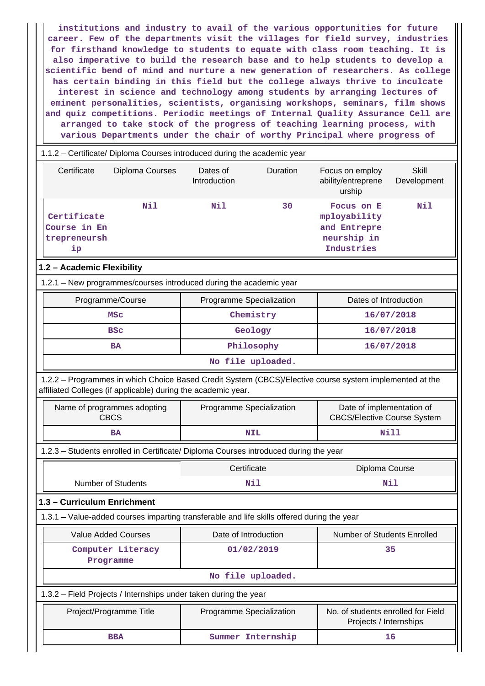**institutions and industry to avail of the various opportunities for future career. Few of the departments visit the villages for field survey, industries for firsthand knowledge to students to equate with class room teaching. It is also imperative to build the research base and to help students to develop a scientific bend of mind and nurture a new generation of researchers. As college has certain binding in this field but the college always thrive to inculcate interest in science and technology among students by arranging lectures of eminent personalities, scientists, organising workshops, seminars, film shows and quiz competitions. Periodic meetings of Internal Quality Assurance Cell are arranged to take stock of the progress of teaching learning process, with various Departments under the chair of worthy Principal where progress of**

| 1.1.2 - Certificate/ Diploma Courses introduced during the academic year                                                                                                 |                          |                   |                                                                         |                             |  |  |  |
|--------------------------------------------------------------------------------------------------------------------------------------------------------------------------|--------------------------|-------------------|-------------------------------------------------------------------------|-----------------------------|--|--|--|
| Certificate<br>Diploma Courses                                                                                                                                           | Dates of<br>Introduction | Duration          | Focus on employ<br>ability/entreprene<br>urship                         | <b>Skill</b><br>Development |  |  |  |
| Nil<br>Certificate<br>Course in En<br>trepreneursh<br>ip                                                                                                                 | Nil                      | 30                | Focus on E<br>mployability<br>and Entrepre<br>neurship in<br>Industries | Nil                         |  |  |  |
| 1.2 - Academic Flexibility                                                                                                                                               |                          |                   |                                                                         |                             |  |  |  |
| 1.2.1 - New programmes/courses introduced during the academic year                                                                                                       |                          |                   |                                                                         |                             |  |  |  |
| Programme/Course                                                                                                                                                         | Programme Specialization |                   | Dates of Introduction                                                   |                             |  |  |  |
| <b>MSC</b>                                                                                                                                                               |                          | Chemistry         |                                                                         | 16/07/2018                  |  |  |  |
| <b>BSC</b>                                                                                                                                                               |                          | Geology           |                                                                         | 16/07/2018                  |  |  |  |
| <b>BA</b>                                                                                                                                                                |                          | Philosophy        | 16/07/2018                                                              |                             |  |  |  |
|                                                                                                                                                                          |                          | No file uploaded. |                                                                         |                             |  |  |  |
| 1.2.2 - Programmes in which Choice Based Credit System (CBCS)/Elective course system implemented at the<br>affiliated Colleges (if applicable) during the academic year. |                          |                   |                                                                         |                             |  |  |  |
| Name of programmes adopting<br><b>CBCS</b>                                                                                                                               | Programme Specialization |                   | Date of implementation of<br><b>CBCS/Elective Course System</b>         |                             |  |  |  |
| BA                                                                                                                                                                       |                          | <b>NIL</b>        |                                                                         | <b>Nill</b>                 |  |  |  |
| 1.2.3 - Students enrolled in Certificate/ Diploma Courses introduced during the year                                                                                     |                          |                   |                                                                         |                             |  |  |  |
|                                                                                                                                                                          | Certificate              |                   | Diploma Course                                                          |                             |  |  |  |
| <b>Number of Students</b>                                                                                                                                                | Nil                      |                   | Nil                                                                     |                             |  |  |  |
| 1.3 - Curriculum Enrichment                                                                                                                                              |                          |                   |                                                                         |                             |  |  |  |
| 1.3.1 – Value-added courses imparting transferable and life skills offered during the year                                                                               |                          |                   |                                                                         |                             |  |  |  |
| <b>Value Added Courses</b>                                                                                                                                               | Date of Introduction     |                   | Number of Students Enrolled                                             |                             |  |  |  |
| Computer Literacy                                                                                                                                                        |                          | 01/02/2019        |                                                                         | 35                          |  |  |  |
| Programme                                                                                                                                                                |                          |                   |                                                                         |                             |  |  |  |
|                                                                                                                                                                          |                          | No file uploaded. |                                                                         |                             |  |  |  |
| 1.3.2 - Field Projects / Internships under taken during the year                                                                                                         |                          |                   |                                                                         |                             |  |  |  |
| Project/Programme Title                                                                                                                                                  | Programme Specialization |                   | No. of students enrolled for Field<br>Projects / Internships            |                             |  |  |  |
| <b>BBA</b>                                                                                                                                                               |                          | Summer Internship |                                                                         | 16                          |  |  |  |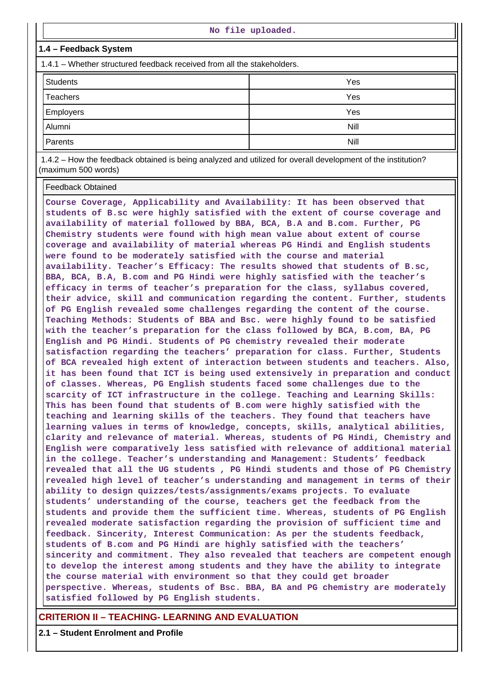|                                                                         | No file uploaded. |  |  |  |  |
|-------------------------------------------------------------------------|-------------------|--|--|--|--|
| 1.4 - Feedback System                                                   |                   |  |  |  |  |
| 1.4.1 – Whether structured feedback received from all the stakeholders. |                   |  |  |  |  |
| <b>Students</b>                                                         | Yes               |  |  |  |  |
| <b>Teachers</b>                                                         | Yes               |  |  |  |  |
| Employers                                                               | Yes               |  |  |  |  |
| Alumni                                                                  | Nill              |  |  |  |  |
| Parents                                                                 | <b>Nill</b>       |  |  |  |  |
|                                                                         |                   |  |  |  |  |

 1.4.2 – How the feedback obtained is being analyzed and utilized for overall development of the institution? (maximum 500 words)

Feedback Obtained

**Course Coverage, Applicability and Availability: It has been observed that students of B.sc were highly satisfied with the extent of course coverage and availability of material followed by BBA, BCA, B.A and B.com. Further, PG Chemistry students were found with high mean value about extent of course coverage and availability of material whereas PG Hindi and English students were found to be moderately satisfied with the course and material availability. Teacher's Efficacy: The results showed that students of B.sc, BBA, BCA, B.A, B.com and PG Hindi were highly satisfied with the teacher's efficacy in terms of teacher's preparation for the class, syllabus covered, their advice, skill and communication regarding the content. Further, students of PG English revealed some challenges regarding the content of the course. Teaching Methods: Students of BBA and Bsc. were highly found to be satisfied with the teacher's preparation for the class followed by BCA, B.com, BA, PG English and PG Hindi. Students of PG chemistry revealed their moderate satisfaction regarding the teachers' preparation for class. Further, Students of BCA revealed high extent of interaction between students and teachers. Also, it has been found that ICT is being used extensively in preparation and conduct of classes. Whereas, PG English students faced some challenges due to the scarcity of ICT infrastructure in the college. Teaching and Learning Skills: This has been found that students of B.com were highly satisfied with the teaching and learning skills of the teachers. They found that teachers have learning values in terms of knowledge, concepts, skills, analytical abilities, clarity and relevance of material. Whereas, students of PG Hindi, Chemistry and English were comparatively less satisfied with relevance of additional material in the college. Teacher's understanding and Management: Students' feedback revealed that all the UG students , PG Hindi students and those of PG Chemistry revealed high level of teacher's understanding and management in terms of their ability to design quizzes/tests/assignments/exams projects. To evaluate students' understanding of the course, teachers get the feedback from the students and provide them the sufficient time. Whereas, students of PG English revealed moderate satisfaction regarding the provision of sufficient time and feedback. Sincerity, Interest Communication: As per the students feedback, students of B.com and PG Hindi are highly satisfied with the teachers' sincerity and commitment. They also revealed that teachers are competent enough to develop the interest among students and they have the ability to integrate the course material with environment so that they could get broader perspective. Whereas, students of Bsc. BBA, BA and PG chemistry are moderately satisfied followed by PG English students.**

**CRITERION II – TEACHING- LEARNING AND EVALUATION**

**2.1 – Student Enrolment and Profile**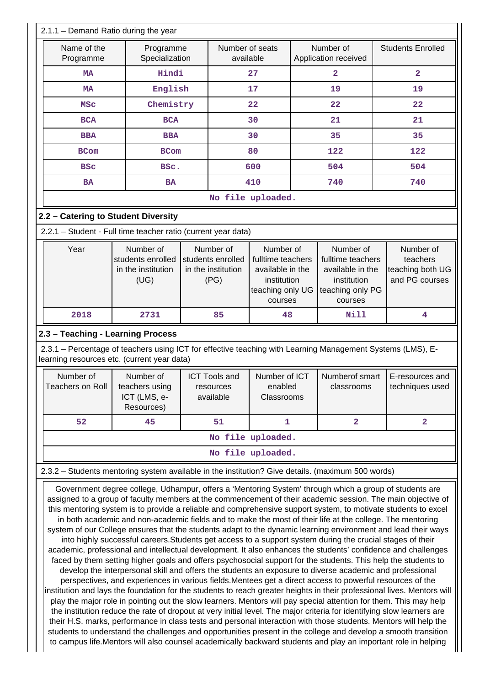| 2.1.1 - Demand Ratio during the year                                                                                                                                                                                                                                                                                                                                                                                                                                                                                                                                                                                                                                                                                                                                                                                                                                                                                                                                                                                                                                                                                                                                                                                                                                                                                                                                                                                                                                                                                                                                                                                                                                                                                                                                                                                                                                              |                                                              |                                                              |                                        |                                                                                                                                                                                           |                              |                                                             |
|-----------------------------------------------------------------------------------------------------------------------------------------------------------------------------------------------------------------------------------------------------------------------------------------------------------------------------------------------------------------------------------------------------------------------------------------------------------------------------------------------------------------------------------------------------------------------------------------------------------------------------------------------------------------------------------------------------------------------------------------------------------------------------------------------------------------------------------------------------------------------------------------------------------------------------------------------------------------------------------------------------------------------------------------------------------------------------------------------------------------------------------------------------------------------------------------------------------------------------------------------------------------------------------------------------------------------------------------------------------------------------------------------------------------------------------------------------------------------------------------------------------------------------------------------------------------------------------------------------------------------------------------------------------------------------------------------------------------------------------------------------------------------------------------------------------------------------------------------------------------------------------|--------------------------------------------------------------|--------------------------------------------------------------|----------------------------------------|-------------------------------------------------------------------------------------------------------------------------------------------------------------------------------------------|------------------------------|-------------------------------------------------------------|
| Name of the<br>Programme                                                                                                                                                                                                                                                                                                                                                                                                                                                                                                                                                                                                                                                                                                                                                                                                                                                                                                                                                                                                                                                                                                                                                                                                                                                                                                                                                                                                                                                                                                                                                                                                                                                                                                                                                                                                                                                          | Number of seats<br>Programme<br>available<br>Specialization  |                                                              | Number of<br>Application received      | <b>Students Enrolled</b>                                                                                                                                                                  |                              |                                                             |
| <b>MA</b>                                                                                                                                                                                                                                                                                                                                                                                                                                                                                                                                                                                                                                                                                                                                                                                                                                                                                                                                                                                                                                                                                                                                                                                                                                                                                                                                                                                                                                                                                                                                                                                                                                                                                                                                                                                                                                                                         | Hindi                                                        |                                                              | 27                                     |                                                                                                                                                                                           | $\overline{a}$               | $\overline{\mathbf{2}}$                                     |
| <b>MA</b>                                                                                                                                                                                                                                                                                                                                                                                                                                                                                                                                                                                                                                                                                                                                                                                                                                                                                                                                                                                                                                                                                                                                                                                                                                                                                                                                                                                                                                                                                                                                                                                                                                                                                                                                                                                                                                                                         | English                                                      |                                                              | 17                                     |                                                                                                                                                                                           | 19                           | 19                                                          |
| MSC                                                                                                                                                                                                                                                                                                                                                                                                                                                                                                                                                                                                                                                                                                                                                                                                                                                                                                                                                                                                                                                                                                                                                                                                                                                                                                                                                                                                                                                                                                                                                                                                                                                                                                                                                                                                                                                                               | Chemistry                                                    |                                                              | 22                                     |                                                                                                                                                                                           | 22                           | 22                                                          |
| <b>BCA</b>                                                                                                                                                                                                                                                                                                                                                                                                                                                                                                                                                                                                                                                                                                                                                                                                                                                                                                                                                                                                                                                                                                                                                                                                                                                                                                                                                                                                                                                                                                                                                                                                                                                                                                                                                                                                                                                                        | <b>BCA</b>                                                   |                                                              | 30                                     |                                                                                                                                                                                           | 21                           | 21                                                          |
| <b>BBA</b>                                                                                                                                                                                                                                                                                                                                                                                                                                                                                                                                                                                                                                                                                                                                                                                                                                                                                                                                                                                                                                                                                                                                                                                                                                                                                                                                                                                                                                                                                                                                                                                                                                                                                                                                                                                                                                                                        | <b>BBA</b>                                                   |                                                              | 30                                     |                                                                                                                                                                                           | 35                           | 35                                                          |
| <b>BCom</b>                                                                                                                                                                                                                                                                                                                                                                                                                                                                                                                                                                                                                                                                                                                                                                                                                                                                                                                                                                                                                                                                                                                                                                                                                                                                                                                                                                                                                                                                                                                                                                                                                                                                                                                                                                                                                                                                       | <b>BCom</b>                                                  |                                                              | 80                                     |                                                                                                                                                                                           | 122                          | 122                                                         |
| <b>BSC</b>                                                                                                                                                                                                                                                                                                                                                                                                                                                                                                                                                                                                                                                                                                                                                                                                                                                                                                                                                                                                                                                                                                                                                                                                                                                                                                                                                                                                                                                                                                                                                                                                                                                                                                                                                                                                                                                                        | BSc.                                                         |                                                              | 600                                    |                                                                                                                                                                                           | 504                          | 504                                                         |
| <b>BA</b>                                                                                                                                                                                                                                                                                                                                                                                                                                                                                                                                                                                                                                                                                                                                                                                                                                                                                                                                                                                                                                                                                                                                                                                                                                                                                                                                                                                                                                                                                                                                                                                                                                                                                                                                                                                                                                                                         | <b>BA</b>                                                    |                                                              | 410                                    |                                                                                                                                                                                           | 740                          | 740                                                         |
|                                                                                                                                                                                                                                                                                                                                                                                                                                                                                                                                                                                                                                                                                                                                                                                                                                                                                                                                                                                                                                                                                                                                                                                                                                                                                                                                                                                                                                                                                                                                                                                                                                                                                                                                                                                                                                                                                   |                                                              |                                                              | No file uploaded.                      |                                                                                                                                                                                           |                              |                                                             |
| 2.2 - Catering to Student Diversity                                                                                                                                                                                                                                                                                                                                                                                                                                                                                                                                                                                                                                                                                                                                                                                                                                                                                                                                                                                                                                                                                                                                                                                                                                                                                                                                                                                                                                                                                                                                                                                                                                                                                                                                                                                                                                               |                                                              |                                                              |                                        |                                                                                                                                                                                           |                              |                                                             |
| 2.2.1 - Student - Full time teacher ratio (current year data)                                                                                                                                                                                                                                                                                                                                                                                                                                                                                                                                                                                                                                                                                                                                                                                                                                                                                                                                                                                                                                                                                                                                                                                                                                                                                                                                                                                                                                                                                                                                                                                                                                                                                                                                                                                                                     |                                                              |                                                              |                                        |                                                                                                                                                                                           |                              |                                                             |
| Year                                                                                                                                                                                                                                                                                                                                                                                                                                                                                                                                                                                                                                                                                                                                                                                                                                                                                                                                                                                                                                                                                                                                                                                                                                                                                                                                                                                                                                                                                                                                                                                                                                                                                                                                                                                                                                                                              | Number of<br>students enrolled<br>in the institution<br>(UG) | Number of<br>students enrolled<br>in the institution<br>(PG) | courses                                | Number of<br>Number of<br>fulltime teachers<br>fulltime teachers<br>available in the<br>available in the<br>institution<br>institution<br>teaching only PG<br>teaching only UG<br>courses |                              | Number of<br>teachers<br>teaching both UG<br>and PG courses |
| 2018                                                                                                                                                                                                                                                                                                                                                                                                                                                                                                                                                                                                                                                                                                                                                                                                                                                                                                                                                                                                                                                                                                                                                                                                                                                                                                                                                                                                                                                                                                                                                                                                                                                                                                                                                                                                                                                                              | 2731                                                         | 85                                                           | 48                                     |                                                                                                                                                                                           | <b>Nill</b>                  | 4                                                           |
| 2.3.1 – Percentage of teachers using ICT for effective teaching with Learning Management Systems (LMS), E-<br>learning resources etc. (current year data)<br>Number of<br>Teachers on Roll   teachers using                                                                                                                                                                                                                                                                                                                                                                                                                                                                                                                                                                                                                                                                                                                                                                                                                                                                                                                                                                                                                                                                                                                                                                                                                                                                                                                                                                                                                                                                                                                                                                                                                                                                       | Number of<br>ICT (LMS, e-                                    | <b>ICT Tools and</b><br>resources<br>available               | Number of ICT<br>enabled<br>Classrooms |                                                                                                                                                                                           | Numberof smart<br>classrooms | E-resources and<br>techniques used                          |
|                                                                                                                                                                                                                                                                                                                                                                                                                                                                                                                                                                                                                                                                                                                                                                                                                                                                                                                                                                                                                                                                                                                                                                                                                                                                                                                                                                                                                                                                                                                                                                                                                                                                                                                                                                                                                                                                                   | Resources)                                                   |                                                              |                                        |                                                                                                                                                                                           |                              |                                                             |
| 52                                                                                                                                                                                                                                                                                                                                                                                                                                                                                                                                                                                                                                                                                                                                                                                                                                                                                                                                                                                                                                                                                                                                                                                                                                                                                                                                                                                                                                                                                                                                                                                                                                                                                                                                                                                                                                                                                | 45                                                           | 51                                                           | 1                                      |                                                                                                                                                                                           | $\overline{\mathbf{2}}$      | $\overline{\mathbf{2}}$                                     |
|                                                                                                                                                                                                                                                                                                                                                                                                                                                                                                                                                                                                                                                                                                                                                                                                                                                                                                                                                                                                                                                                                                                                                                                                                                                                                                                                                                                                                                                                                                                                                                                                                                                                                                                                                                                                                                                                                   |                                                              |                                                              | No file uploaded.                      |                                                                                                                                                                                           |                              |                                                             |
|                                                                                                                                                                                                                                                                                                                                                                                                                                                                                                                                                                                                                                                                                                                                                                                                                                                                                                                                                                                                                                                                                                                                                                                                                                                                                                                                                                                                                                                                                                                                                                                                                                                                                                                                                                                                                                                                                   |                                                              |                                                              | No file uploaded.                      |                                                                                                                                                                                           |                              |                                                             |
| 2.3.2 - Students mentoring system available in the institution? Give details. (maximum 500 words)                                                                                                                                                                                                                                                                                                                                                                                                                                                                                                                                                                                                                                                                                                                                                                                                                                                                                                                                                                                                                                                                                                                                                                                                                                                                                                                                                                                                                                                                                                                                                                                                                                                                                                                                                                                 |                                                              |                                                              |                                        |                                                                                                                                                                                           |                              |                                                             |
| Government degree college, Udhampur, offers a 'Mentoring System' through which a group of students are<br>assigned to a group of faculty members at the commencement of their academic session. The main objective of<br>this mentoring system is to provide a reliable and comprehensive support system, to motivate students to excel<br>in both academic and non-academic fields and to make the most of their life at the college. The mentoring<br>system of our College ensures that the students adapt to the dynamic learning environment and lead their ways<br>into highly successful careers. Students get access to a support system during the crucial stages of their<br>academic, professional and intellectual development. It also enhances the students' confidence and challenges<br>faced by them setting higher goals and offers psychosocial support for the students. This help the students to<br>develop the interpersonal skill and offers the students an exposure to diverse academic and professional<br>perspectives, and experiences in various fields. Mentees get a direct access to powerful resources of the<br>institution and lays the foundation for the students to reach greater heights in their professional lives. Mentors will<br>play the major role in pointing out the slow learners. Mentors will pay special attention for them. This may help<br>the institution reduce the rate of dropout at very initial level. The major criteria for identifying slow learners are<br>their H.S. marks, performance in class tests and personal interaction with those students. Mentors will help the<br>students to understand the challenges and opportunities present in the college and develop a smooth transition<br>to campus life. Mentors will also counsel academically backward students and play an important role in helping |                                                              |                                                              |                                        |                                                                                                                                                                                           |                              |                                                             |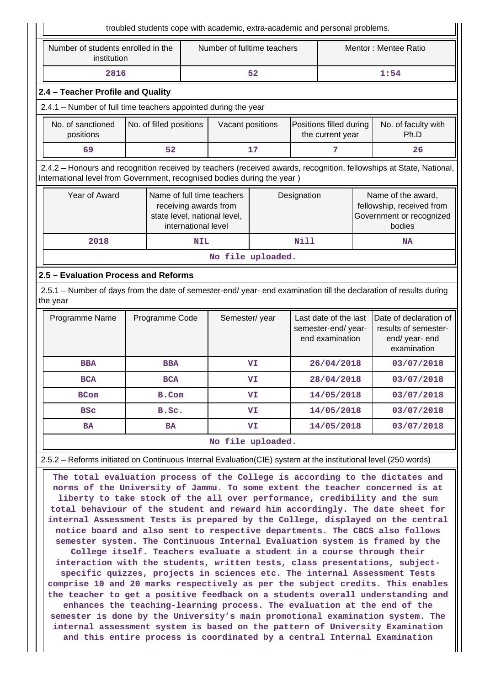|                                                                                                                                                                                                                                                                                                                                                                                                                                                                                              |                | troubled students cope with academic, extra-academic and personal problems.                                |                                                                                 |             |  |                                                                                       |  |
|----------------------------------------------------------------------------------------------------------------------------------------------------------------------------------------------------------------------------------------------------------------------------------------------------------------------------------------------------------------------------------------------------------------------------------------------------------------------------------------------|----------------|------------------------------------------------------------------------------------------------------------|---------------------------------------------------------------------------------|-------------|--|---------------------------------------------------------------------------------------|--|
| Number of students enrolled in the<br>institution                                                                                                                                                                                                                                                                                                                                                                                                                                            |                |                                                                                                            | Number of fulltime teachers                                                     |             |  | Mentor: Mentee Ratio                                                                  |  |
| 2816                                                                                                                                                                                                                                                                                                                                                                                                                                                                                         |                |                                                                                                            | 52                                                                              |             |  | 1:54                                                                                  |  |
| 2.4 - Teacher Profile and Quality                                                                                                                                                                                                                                                                                                                                                                                                                                                            |                |                                                                                                            |                                                                                 |             |  |                                                                                       |  |
| 2.4.1 - Number of full time teachers appointed during the year                                                                                                                                                                                                                                                                                                                                                                                                                               |                |                                                                                                            |                                                                                 |             |  |                                                                                       |  |
| No. of sanctioned<br>No. of filled positions<br>Positions filled during<br>Vacant positions<br>positions<br>Ph.D<br>the current year                                                                                                                                                                                                                                                                                                                                                         |                |                                                                                                            |                                                                                 |             |  | No. of faculty with                                                                   |  |
| 69                                                                                                                                                                                                                                                                                                                                                                                                                                                                                           | 52             |                                                                                                            | 17                                                                              | 7           |  | 26                                                                                    |  |
| 2.4.2 - Honours and recognition received by teachers (received awards, recognition, fellowships at State, National,<br>International level from Government, recognised bodies during the year )                                                                                                                                                                                                                                                                                              |                |                                                                                                            |                                                                                 |             |  |                                                                                       |  |
| Year of Award                                                                                                                                                                                                                                                                                                                                                                                                                                                                                |                | Name of full time teachers<br>receiving awards from<br>state level, national level,<br>international level |                                                                                 | Designation |  | Name of the award,<br>fellowship, received from<br>Government or recognized<br>bodies |  |
| 2018                                                                                                                                                                                                                                                                                                                                                                                                                                                                                         |                | NIL                                                                                                        |                                                                                 | <b>Nill</b> |  | <b>NA</b>                                                                             |  |
|                                                                                                                                                                                                                                                                                                                                                                                                                                                                                              |                |                                                                                                            | No file uploaded.                                                               |             |  |                                                                                       |  |
| 2.5 - Evaluation Process and Reforms                                                                                                                                                                                                                                                                                                                                                                                                                                                         |                |                                                                                                            |                                                                                 |             |  |                                                                                       |  |
| 2.5.1 – Number of days from the date of semester-end/ year- end examination till the declaration of results during<br>the year                                                                                                                                                                                                                                                                                                                                                               |                |                                                                                                            |                                                                                 |             |  |                                                                                       |  |
| Programme Name                                                                                                                                                                                                                                                                                                                                                                                                                                                                               | Programme Code |                                                                                                            | Semester/year<br>Last date of the last<br>semester-end/year-<br>end examination |             |  | Date of declaration of<br>results of semester-<br>end/ year- end<br>examination       |  |
| <b>BBA</b>                                                                                                                                                                                                                                                                                                                                                                                                                                                                                   | <b>BBA</b>     |                                                                                                            | VI                                                                              | 26/04/2018  |  | 03/07/2018                                                                            |  |
| <b>BCA</b>                                                                                                                                                                                                                                                                                                                                                                                                                                                                                   | <b>BCA</b>     |                                                                                                            | VI                                                                              | 28/04/2018  |  | 03/07/2018                                                                            |  |
| <b>BCom</b>                                                                                                                                                                                                                                                                                                                                                                                                                                                                                  | B.Com          |                                                                                                            | VI                                                                              | 14/05/2018  |  | 03/07/2018                                                                            |  |
| <b>BSC</b>                                                                                                                                                                                                                                                                                                                                                                                                                                                                                   | B.Sc.          |                                                                                                            | VI.                                                                             | 14/05/2018  |  | 03/07/2018                                                                            |  |
| <b>BA</b>                                                                                                                                                                                                                                                                                                                                                                                                                                                                                    | <b>BA</b>      |                                                                                                            | VI                                                                              | 14/05/2018  |  | 03/07/2018                                                                            |  |
|                                                                                                                                                                                                                                                                                                                                                                                                                                                                                              |                |                                                                                                            | No file uploaded.                                                               |             |  |                                                                                       |  |
| 2.5.2 - Reforms initiated on Continuous Internal Evaluation(CIE) system at the institutional level (250 words)                                                                                                                                                                                                                                                                                                                                                                               |                |                                                                                                            |                                                                                 |             |  |                                                                                       |  |
| The total evaluation process of the College is according to the dictates and<br>norms of the University of Jammu. To some extent the teacher concerned is at<br>liberty to take stock of the all over performance, credibility and the sum<br>total behaviour of the student and reward him accordingly. The date sheet for<br>internal Assessment Tests is prepared by the College, displayed on the central<br>notice board and also sent to respective departments. The CBCS also follows |                |                                                                                                            |                                                                                 |             |  |                                                                                       |  |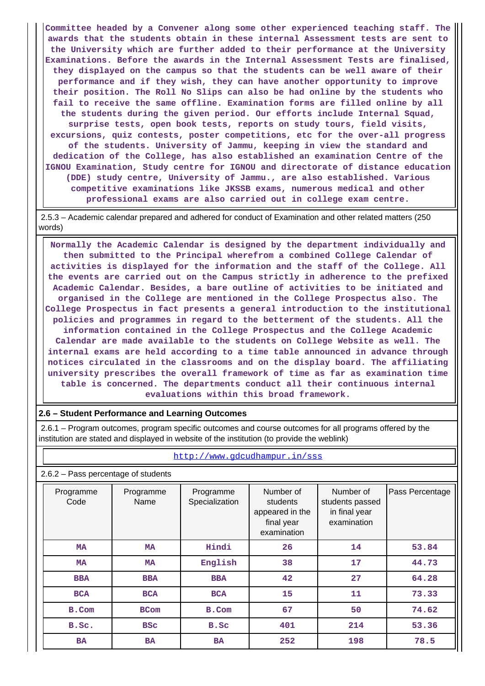**Committee headed by a Convener along some other experienced teaching staff. The awards that the students obtain in these internal Assessment tests are sent to the University which are further added to their performance at the University Examinations. Before the awards in the Internal Assessment Tests are finalised, they displayed on the campus so that the students can be well aware of their performance and if they wish, they can have another opportunity to improve their position. The Roll No Slips can also be had online by the students who fail to receive the same offline. Examination forms are filled online by all the students during the given period. Our efforts include Internal Squad, surprise tests, open book tests, reports on study tours, field visits, excursions, quiz contests, poster competitions, etc for the over-all progress of the students. University of Jammu, keeping in view the standard and dedication of the College, has also established an examination Centre of the IGNOU Examination, Study centre for IGNOU and directorate of distance education (DDE) study centre, University of Jammu., are also established. Various competitive examinations like JKSSB exams, numerous medical and other professional exams are also carried out in college exam centre.**

 2.5.3 – Academic calendar prepared and adhered for conduct of Examination and other related matters (250 words)

 **Normally the Academic Calendar is designed by the department individually and then submitted to the Principal wherefrom a combined College Calendar of activities is displayed for the information and the staff of the College. All the events are carried out on the Campus strictly in adherence to the prefixed Academic Calendar. Besides, a bare outline of activities to be initiated and organised in the College are mentioned in the College Prospectus also. The College Prospectus in fact presents a general introduction to the institutional policies and programmes in regard to the betterment of the students. All the information contained in the College Prospectus and the College Academic Calendar are made available to the students on College Website as well. The internal exams are held according to a time table announced in advance through notices circulated in the classrooms and on the display board. The affiliating university prescribes the overall framework of time as far as examination time table is concerned. The departments conduct all their continuous internal evaluations within this broad framework.**

# **2.6 – Student Performance and Learning Outcomes**

 2.6.1 – Program outcomes, program specific outcomes and course outcomes for all programs offered by the institution are stated and displayed in website of the institution (to provide the weblink)

| 2.6.2 - Pass percentage of students |                   |                             |                                                                       |                                                              |                 |  |  |  |
|-------------------------------------|-------------------|-----------------------------|-----------------------------------------------------------------------|--------------------------------------------------------------|-----------------|--|--|--|
| Programme<br>Code                   | Programme<br>Name | Programme<br>Specialization | Number of<br>students<br>appeared in the<br>final year<br>examination | Number of<br>students passed<br>in final year<br>examination | Pass Percentage |  |  |  |
| <b>MA</b>                           | <b>MA</b>         | Hindi                       | 26                                                                    | 14                                                           | 53.84           |  |  |  |
| <b>MA</b>                           | <b>MA</b>         | English                     | 38                                                                    | 17                                                           | 44.73           |  |  |  |
| <b>BBA</b>                          | <b>BBA</b>        | <b>BBA</b>                  | 42                                                                    | 27                                                           | 64.28           |  |  |  |
| <b>BCA</b>                          | <b>BCA</b>        | <b>BCA</b>                  | 15                                                                    | 11                                                           | 73.33           |  |  |  |
| B.Com                               | <b>BCom</b>       | B.Com                       | 67                                                                    | 50                                                           | 74.62           |  |  |  |
| B.Sc.                               | <b>BSC</b>        | B.Sc                        | 401                                                                   | 214                                                          | 53.36           |  |  |  |
| <b>BA</b>                           | <b>BA</b>         | <b>BA</b>                   | 252                                                                   | 198                                                          | 78.5            |  |  |  |

<http://www.gdcudhampur.in/sss>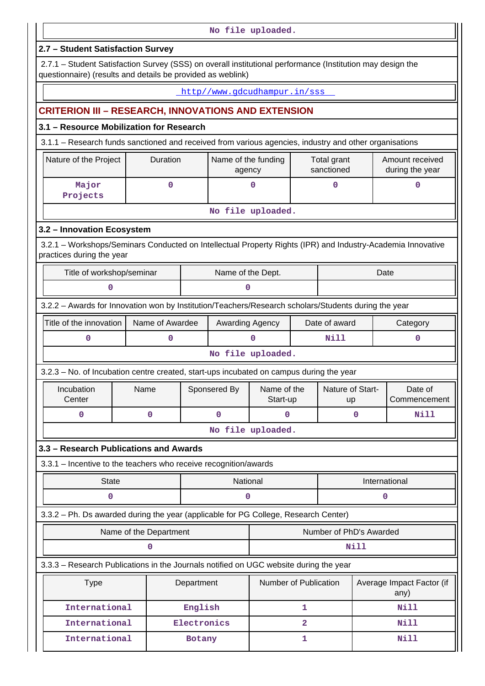|                                                                                                                                                                           |                        |             |                               | No file uploaded.       |              |                            |                           |                                    |
|---------------------------------------------------------------------------------------------------------------------------------------------------------------------------|------------------------|-------------|-------------------------------|-------------------------|--------------|----------------------------|---------------------------|------------------------------------|
| 2.7 - Student Satisfaction Survey                                                                                                                                         |                        |             |                               |                         |              |                            |                           |                                    |
| 2.7.1 - Student Satisfaction Survey (SSS) on overall institutional performance (Institution may design the<br>questionnaire) (results and details be provided as weblink) |                        |             |                               |                         |              |                            |                           |                                    |
|                                                                                                                                                                           |                        |             | http//www.gdcudhampur.in/sss  |                         |              |                            |                           |                                    |
| <b>CRITERION III - RESEARCH, INNOVATIONS AND EXTENSION</b>                                                                                                                |                        |             |                               |                         |              |                            |                           |                                    |
| 3.1 - Resource Mobilization for Research                                                                                                                                  |                        |             |                               |                         |              |                            |                           |                                    |
| 3.1.1 - Research funds sanctioned and received from various agencies, industry and other organisations                                                                    |                        |             |                               |                         |              |                            |                           |                                    |
| Nature of the Project                                                                                                                                                     | Duration               |             | Name of the funding<br>agency |                         |              | Total grant<br>sanctioned  |                           | Amount received<br>during the year |
| Major<br>Projects                                                                                                                                                         | 0                      |             |                               | 0                       |              | $\mathbf 0$                |                           | $\mathbf 0$                        |
|                                                                                                                                                                           |                        |             |                               | No file uploaded.       |              |                            |                           |                                    |
| 3.2 - Innovation Ecosystem                                                                                                                                                |                        |             |                               |                         |              |                            |                           |                                    |
| 3.2.1 – Workshops/Seminars Conducted on Intellectual Property Rights (IPR) and Industry-Academia Innovative<br>practices during the year                                  |                        |             |                               |                         |              |                            |                           |                                    |
| Title of workshop/seminar                                                                                                                                                 |                        |             | Name of the Dept.             |                         |              |                            |                           | Date                               |
| 0                                                                                                                                                                         |                        |             | 0                             |                         |              |                            |                           |                                    |
| 3.2.2 - Awards for Innovation won by Institution/Teachers/Research scholars/Students during the year                                                                      |                        |             |                               |                         |              |                            |                           |                                    |
| Title of the innovation                                                                                                                                                   | Name of Awardee        |             | Awarding Agency               |                         |              |                            | Date of award<br>Category |                                    |
| 0                                                                                                                                                                         | 0                      |             |                               | 0                       |              | <b>Nill</b><br>$\mathbf 0$ |                           |                                    |
|                                                                                                                                                                           |                        |             |                               | No file uploaded.       |              |                            |                           |                                    |
| 3.2.3 – No. of Incubation centre created, start-ups incubated on campus during the year                                                                                   |                        |             |                               |                         |              |                            |                           |                                    |
| Incubation<br>Center                                                                                                                                                      | Name                   |             | Sponsered By                  | Name of the<br>Start-up |              | Nature of Start-<br>up     |                           | Date of<br>Commencement            |
| $\mathbf 0$                                                                                                                                                               | $\mathbf 0$            |             | $\mathbf 0$                   | 0                       |              |                            | $\mathbf 0$               | <b>Nill</b>                        |
|                                                                                                                                                                           |                        |             |                               | No file uploaded.       |              |                            |                           |                                    |
| 3.3 - Research Publications and Awards                                                                                                                                    |                        |             |                               |                         |              |                            |                           |                                    |
| 3.3.1 - Incentive to the teachers who receive recognition/awards                                                                                                          |                        |             |                               |                         |              |                            |                           |                                    |
| <b>State</b>                                                                                                                                                              |                        |             | National                      |                         |              |                            |                           | International                      |
| 0                                                                                                                                                                         |                        |             | 0                             |                         |              |                            |                           | 0                                  |
| 3.3.2 - Ph. Ds awarded during the year (applicable for PG College, Research Center)                                                                                       |                        |             |                               |                         |              |                            |                           |                                    |
|                                                                                                                                                                           | Name of the Department |             |                               |                         |              | Number of PhD's Awarded    |                           |                                    |
|                                                                                                                                                                           | 0                      |             |                               |                         |              |                            | <b>Nill</b>               |                                    |
| 3.3.3 - Research Publications in the Journals notified on UGC website during the year                                                                                     |                        |             |                               |                         |              |                            |                           |                                    |
| <b>Type</b>                                                                                                                                                               |                        | Department  |                               | Number of Publication   |              |                            |                           | Average Impact Factor (if<br>any)  |
| International                                                                                                                                                             |                        | English     |                               |                         | 1            |                            |                           | <b>Nill</b>                        |
| International                                                                                                                                                             |                        | Electronics |                               |                         | $\mathbf{2}$ |                            |                           | <b>Nill</b>                        |
| International                                                                                                                                                             |                        | Botany      |                               |                         | 1            |                            |                           | <b>Nill</b>                        |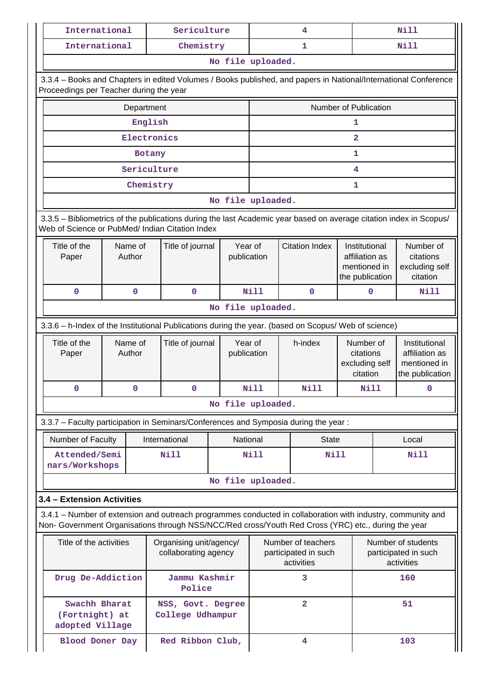| International                                                                                                                                                                                                      |                   |             | Sericulture                                                                                                          |                        |             |  | 4                     |                                                                    | <b>Nill</b>                                                                                                                |                                                                                                                 |
|--------------------------------------------------------------------------------------------------------------------------------------------------------------------------------------------------------------------|-------------------|-------------|----------------------------------------------------------------------------------------------------------------------|------------------------|-------------|--|-----------------------|--------------------------------------------------------------------|----------------------------------------------------------------------------------------------------------------------------|-----------------------------------------------------------------------------------------------------------------|
| International                                                                                                                                                                                                      |                   |             | Chemistry                                                                                                            |                        |             |  | $\mathbf{1}$          |                                                                    | <b>Nill</b>                                                                                                                |                                                                                                                 |
|                                                                                                                                                                                                                    |                   |             |                                                                                                                      | No file uploaded.      |             |  |                       |                                                                    |                                                                                                                            |                                                                                                                 |
| Proceedings per Teacher during the year                                                                                                                                                                            |                   |             |                                                                                                                      |                        |             |  |                       |                                                                    |                                                                                                                            | 3.3.4 - Books and Chapters in edited Volumes / Books published, and papers in National/International Conference |
|                                                                                                                                                                                                                    |                   | Department  |                                                                                                                      |                        |             |  |                       | Number of Publication                                              |                                                                                                                            |                                                                                                                 |
|                                                                                                                                                                                                                    |                   | English     |                                                                                                                      |                        |             |  |                       | 1                                                                  |                                                                                                                            |                                                                                                                 |
|                                                                                                                                                                                                                    |                   | Electronics |                                                                                                                      |                        |             |  |                       | $\overline{a}$                                                     |                                                                                                                            |                                                                                                                 |
|                                                                                                                                                                                                                    |                   | Botany      |                                                                                                                      |                        |             |  |                       | 1                                                                  |                                                                                                                            |                                                                                                                 |
|                                                                                                                                                                                                                    |                   | Sericulture |                                                                                                                      |                        |             |  |                       | 4                                                                  |                                                                                                                            |                                                                                                                 |
|                                                                                                                                                                                                                    |                   | Chemistry   |                                                                                                                      |                        |             |  |                       | 1                                                                  |                                                                                                                            |                                                                                                                 |
|                                                                                                                                                                                                                    |                   |             |                                                                                                                      | No file uploaded.      |             |  |                       |                                                                    |                                                                                                                            |                                                                                                                 |
| 3.3.5 - Bibliometrics of the publications during the last Academic year based on average citation index in Scopus/<br>Web of Science or PubMed/ Indian Citation Index                                              |                   |             |                                                                                                                      |                        |             |  |                       |                                                                    |                                                                                                                            |                                                                                                                 |
| Title of the<br>Paper                                                                                                                                                                                              | Name of<br>Author |             | Title of journal                                                                                                     | Year of<br>publication |             |  | <b>Citation Index</b> | Institutional<br>affiliation as<br>mentioned in<br>the publication |                                                                                                                            | Number of<br>citations<br>excluding self<br>citation                                                            |
| $\mathbf 0$                                                                                                                                                                                                        | 0                 |             | $\mathbf 0$                                                                                                          |                        | <b>Nill</b> |  | $\mathbf{O}$          | $\mathbf 0$                                                        |                                                                                                                            | <b>Nill</b>                                                                                                     |
| No file uploaded.                                                                                                                                                                                                  |                   |             |                                                                                                                      |                        |             |  |                       |                                                                    |                                                                                                                            |                                                                                                                 |
| 3.3.6 - h-Index of the Institutional Publications during the year. (based on Scopus/ Web of science)                                                                                                               |                   |             |                                                                                                                      |                        |             |  |                       |                                                                    |                                                                                                                            |                                                                                                                 |
| Title of the<br>Paper                                                                                                                                                                                              | Name of<br>Author |             | Title of journal                                                                                                     | Year of<br>publication |             |  | h-index               |                                                                    | Number of<br>Institutional<br>citations<br>affiliation as<br>excluding self<br>mentioned in<br>citation<br>the publication |                                                                                                                 |
| 0                                                                                                                                                                                                                  | 0                 |             | 0                                                                                                                    |                        | Nill        |  | Nill                  | Nill                                                               |                                                                                                                            | 0                                                                                                               |
|                                                                                                                                                                                                                    |                   |             |                                                                                                                      | No file uploaded.      |             |  |                       |                                                                    |                                                                                                                            |                                                                                                                 |
| 3.3.7 - Faculty participation in Seminars/Conferences and Symposia during the year:                                                                                                                                |                   |             |                                                                                                                      |                        |             |  |                       |                                                                    |                                                                                                                            |                                                                                                                 |
| Number of Faculty                                                                                                                                                                                                  |                   |             | International                                                                                                        | National               |             |  | <b>State</b>          |                                                                    |                                                                                                                            | Local                                                                                                           |
| Attended/Semi<br>nars/Workshops                                                                                                                                                                                    |                   |             | <b>Nill</b>                                                                                                          |                        | <b>Nill</b> |  | <b>Nill</b>           |                                                                    |                                                                                                                            | Nill                                                                                                            |
|                                                                                                                                                                                                                    |                   |             |                                                                                                                      | No file uploaded.      |             |  |                       |                                                                    |                                                                                                                            |                                                                                                                 |
| 3.4 - Extension Activities                                                                                                                                                                                         |                   |             |                                                                                                                      |                        |             |  |                       |                                                                    |                                                                                                                            |                                                                                                                 |
| 3.4.1 – Number of extension and outreach programmes conducted in collaboration with industry, community and<br>Non- Government Organisations through NSS/NCC/Red cross/Youth Red Cross (YRC) etc., during the year |                   |             |                                                                                                                      |                        |             |  |                       |                                                                    |                                                                                                                            |                                                                                                                 |
| Title of the activities<br>Organising unit/agency/<br>collaborating agency                                                                                                                                         |                   |             | Number of teachers<br>Number of students<br>participated in such<br>participated in such<br>activities<br>activities |                        |             |  |                       |                                                                    |                                                                                                                            |                                                                                                                 |
|                                                                                                                                                                                                                    |                   |             |                                                                                                                      |                        |             |  |                       |                                                                    |                                                                                                                            |                                                                                                                 |
| Drug De-Addiction                                                                                                                                                                                                  |                   |             | Jammu Kashmir<br>Police                                                                                              |                        |             |  | 3                     |                                                                    |                                                                                                                            | 160                                                                                                             |
| Swachh Bharat<br>(Fortnight) at<br>adopted Village                                                                                                                                                                 |                   |             | NSS, Govt. Degree<br>College Udhampur                                                                                |                        |             |  | $\overline{a}$        |                                                                    |                                                                                                                            | 51                                                                                                              |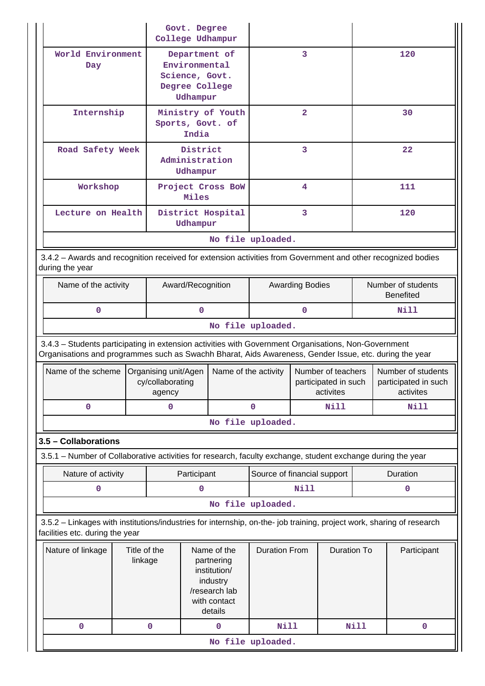|                                                                                                                                                                                                                |                                                                                                     | Govt. Degree<br>College Udhampur                   |                                                                                                   |                                       |                             |                         |                                                         |             |                                                         |
|----------------------------------------------------------------------------------------------------------------------------------------------------------------------------------------------------------------|-----------------------------------------------------------------------------------------------------|----------------------------------------------------|---------------------------------------------------------------------------------------------------|---------------------------------------|-----------------------------|-------------------------|---------------------------------------------------------|-------------|---------------------------------------------------------|
| Day                                                                                                                                                                                                            | World Environment<br>Department of<br>Environmental<br>Science, Govt.<br>Degree College<br>Udhampur |                                                    |                                                                                                   |                                       | 3                           |                         |                                                         | 120         |                                                         |
| Internship                                                                                                                                                                                                     |                                                                                                     |                                                    | India                                                                                             | Ministry of Youth<br>Sports, Govt. of |                             | $\overline{\mathbf{2}}$ |                                                         |             | 30                                                      |
| Road Safety Week                                                                                                                                                                                               |                                                                                                     |                                                    | District<br>Administration<br>Udhampur                                                            |                                       |                             | 3                       |                                                         |             | 22                                                      |
| Workshop                                                                                                                                                                                                       |                                                                                                     |                                                    | Miles                                                                                             | Project Cross BoW                     |                             | 4                       |                                                         |             | 111                                                     |
| Lecture on Health                                                                                                                                                                                              |                                                                                                     |                                                    | Udhampur                                                                                          | District Hospital                     |                             | 3                       |                                                         |             | 120                                                     |
|                                                                                                                                                                                                                |                                                                                                     |                                                    |                                                                                                   |                                       | No file uploaded.           |                         |                                                         |             |                                                         |
| 3.4.2 - Awards and recognition received for extension activities from Government and other recognized bodies<br>during the year                                                                                |                                                                                                     |                                                    |                                                                                                   |                                       |                             |                         |                                                         |             |                                                         |
| Name of the activity                                                                                                                                                                                           |                                                                                                     |                                                    | Award/Recognition                                                                                 |                                       | <b>Awarding Bodies</b>      |                         | Number of students<br><b>Benefited</b>                  |             |                                                         |
| $\mathbf{0}$                                                                                                                                                                                                   |                                                                                                     |                                                    | $\mathbf 0$                                                                                       |                                       |                             | $\Omega$                |                                                         |             | Nill                                                    |
| No file uploaded.                                                                                                                                                                                              |                                                                                                     |                                                    |                                                                                                   |                                       |                             |                         |                                                         |             |                                                         |
| 3.4.3 - Students participating in extension activities with Government Organisations, Non-Government<br>Organisations and programmes such as Swachh Bharat, Aids Awareness, Gender Issue, etc. during the year |                                                                                                     |                                                    |                                                                                                   |                                       |                             |                         |                                                         |             |                                                         |
| Name of the scheme                                                                                                                                                                                             |                                                                                                     | Organising unit/Agen<br>cy/collaborating<br>agency |                                                                                                   | Name of the activity                  |                             |                         | Number of teachers<br>participated in such<br>activites |             | Number of students<br>participated in such<br>activites |
| $\mathbf 0$                                                                                                                                                                                                    |                                                                                                     | 0                                                  |                                                                                                   |                                       | $\mathbf 0$<br>Nill         |                         | <b>Nill</b>                                             |             |                                                         |
|                                                                                                                                                                                                                |                                                                                                     |                                                    |                                                                                                   |                                       | No file uploaded.           |                         |                                                         |             |                                                         |
| 3.5 - Collaborations                                                                                                                                                                                           |                                                                                                     |                                                    |                                                                                                   |                                       |                             |                         |                                                         |             |                                                         |
| 3.5.1 – Number of Collaborative activities for research, faculty exchange, student exchange during the year                                                                                                    |                                                                                                     |                                                    |                                                                                                   |                                       |                             |                         |                                                         |             |                                                         |
| Nature of activity                                                                                                                                                                                             |                                                                                                     |                                                    | Participant                                                                                       |                                       | Source of financial support |                         |                                                         |             | Duration                                                |
| $\mathbf 0$                                                                                                                                                                                                    |                                                                                                     |                                                    | $\mathbf 0$                                                                                       |                                       |                             | <b>Nill</b>             |                                                         |             | $\mathbf 0$                                             |
|                                                                                                                                                                                                                |                                                                                                     |                                                    |                                                                                                   |                                       | No file uploaded.           |                         |                                                         |             |                                                         |
| 3.5.2 - Linkages with institutions/industries for internship, on-the- job training, project work, sharing of research<br>facilities etc. during the year                                                       |                                                                                                     |                                                    |                                                                                                   |                                       |                             |                         |                                                         |             |                                                         |
| Nature of linkage                                                                                                                                                                                              | Title of the<br>linkage                                                                             |                                                    | Name of the<br>partnering<br>institution/<br>industry<br>/research lab<br>with contact<br>details | <b>Duration From</b>                  |                             | <b>Duration To</b>      |                                                         | Participant |                                                         |
|                                                                                                                                                                                                                |                                                                                                     |                                                    |                                                                                                   |                                       |                             |                         |                                                         | $\mathbf 0$ |                                                         |
| $\mathbf 0$                                                                                                                                                                                                    |                                                                                                     | $\mathbf 0$                                        |                                                                                                   | $\mathbf 0$                           | <b>Nill</b>                 |                         |                                                         | Nill        |                                                         |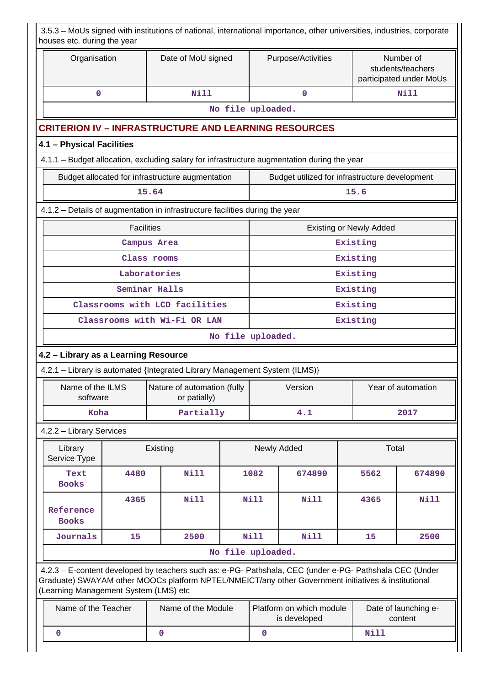|                                          | houses etc. during the year                                                  |                   |          |                                                  |  |                   | 3.5.3 - MoUs signed with institutions of national, international importance, other universities, industries, corporate                                                                                         |                                |                                                           |
|------------------------------------------|------------------------------------------------------------------------------|-------------------|----------|--------------------------------------------------|--|-------------------|----------------------------------------------------------------------------------------------------------------------------------------------------------------------------------------------------------------|--------------------------------|-----------------------------------------------------------|
|                                          | Organisation                                                                 |                   |          | Date of MoU signed                               |  |                   | Purpose/Activities                                                                                                                                                                                             |                                | Number of<br>students/teachers<br>participated under MoUs |
|                                          | $\mathbf 0$                                                                  |                   |          | <b>Nill</b>                                      |  |                   | $\mathbf 0$                                                                                                                                                                                                    |                                | <b>Nill</b>                                               |
|                                          |                                                                              |                   |          |                                                  |  | No file uploaded. |                                                                                                                                                                                                                |                                |                                                           |
|                                          | <b>CRITERION IV - INFRASTRUCTURE AND LEARNING RESOURCES</b>                  |                   |          |                                                  |  |                   |                                                                                                                                                                                                                |                                |                                                           |
|                                          | 4.1 - Physical Facilities                                                    |                   |          |                                                  |  |                   |                                                                                                                                                                                                                |                                |                                                           |
|                                          |                                                                              |                   |          |                                                  |  |                   | 4.1.1 - Budget allocation, excluding salary for infrastructure augmentation during the year                                                                                                                    |                                |                                                           |
|                                          |                                                                              |                   |          | Budget allocated for infrastructure augmentation |  |                   | Budget utilized for infrastructure development                                                                                                                                                                 |                                |                                                           |
|                                          |                                                                              |                   | 15.64    |                                                  |  |                   |                                                                                                                                                                                                                | 15.6                           |                                                           |
|                                          | 4.1.2 - Details of augmentation in infrastructure facilities during the year |                   |          |                                                  |  |                   |                                                                                                                                                                                                                |                                |                                                           |
|                                          |                                                                              | <b>Facilities</b> |          |                                                  |  |                   |                                                                                                                                                                                                                | <b>Existing or Newly Added</b> |                                                           |
|                                          |                                                                              | Campus Area       |          |                                                  |  |                   |                                                                                                                                                                                                                | Existing                       |                                                           |
|                                          |                                                                              | Class rooms       |          |                                                  |  |                   |                                                                                                                                                                                                                | Existing                       |                                                           |
|                                          |                                                                              | Laboratories      |          |                                                  |  |                   |                                                                                                                                                                                                                | Existing                       |                                                           |
|                                          | Seminar Halls                                                                |                   |          |                                                  |  |                   |                                                                                                                                                                                                                | Existing                       |                                                           |
|                                          | Classrooms with LCD facilities                                               |                   |          |                                                  |  |                   |                                                                                                                                                                                                                | Existing                       |                                                           |
| Classrooms with Wi-Fi OR LAN<br>Existing |                                                                              |                   |          |                                                  |  |                   |                                                                                                                                                                                                                |                                |                                                           |
|                                          | No file uploaded.                                                            |                   |          |                                                  |  |                   |                                                                                                                                                                                                                |                                |                                                           |
|                                          | 4.2 - Library as a Learning Resource                                         |                   |          |                                                  |  |                   |                                                                                                                                                                                                                |                                |                                                           |
|                                          | 4.2.1 - Library is automated {Integrated Library Management System (ILMS)}   |                   |          |                                                  |  |                   |                                                                                                                                                                                                                |                                |                                                           |
|                                          | Name of the ILMS<br>software                                                 |                   |          | Nature of automation (fully<br>or patially)      |  |                   | Version                                                                                                                                                                                                        |                                | Year of automation                                        |
|                                          | Koha                                                                         |                   |          | Partially                                        |  |                   | 4.1                                                                                                                                                                                                            |                                | 2017                                                      |
|                                          | 4.2.2 - Library Services                                                     |                   |          |                                                  |  |                   |                                                                                                                                                                                                                |                                |                                                           |
|                                          | Library<br>Service Type                                                      |                   | Existing |                                                  |  |                   | Newly Added                                                                                                                                                                                                    | Total                          |                                                           |
|                                          | Text<br><b>Books</b>                                                         | 4480              |          | Nill                                             |  | 1082              | 674890                                                                                                                                                                                                         | 5562                           | 674890                                                    |
|                                          | Reference<br><b>Books</b>                                                    | 4365              |          | <b>Nill</b>                                      |  | Nill              | <b>Nill</b>                                                                                                                                                                                                    | 4365                           | Nill                                                      |
|                                          | Journals                                                                     | 15                |          | 2500                                             |  | <b>Nill</b>       | <b>Nill</b>                                                                                                                                                                                                    | 15                             | 2500                                                      |
|                                          |                                                                              |                   |          |                                                  |  | No file uploaded. |                                                                                                                                                                                                                |                                |                                                           |
|                                          | (Learning Management System (LMS) etc                                        |                   |          |                                                  |  |                   | 4.2.3 - E-content developed by teachers such as: e-PG- Pathshala, CEC (under e-PG- Pathshala CEC (Under<br>Graduate) SWAYAM other MOOCs platform NPTEL/NMEICT/any other Government initiatives & institutional |                                |                                                           |
|                                          | Name of the Teacher                                                          |                   |          | Name of the Module                               |  |                   | Platform on which module<br>is developed                                                                                                                                                                       |                                | Date of launching e-<br>content                           |
|                                          | 0                                                                            |                   | 0        |                                                  |  | $\mathbf 0$       |                                                                                                                                                                                                                | <b>Nill</b>                    |                                                           |
|                                          |                                                                              |                   |          |                                                  |  |                   |                                                                                                                                                                                                                |                                |                                                           |

Н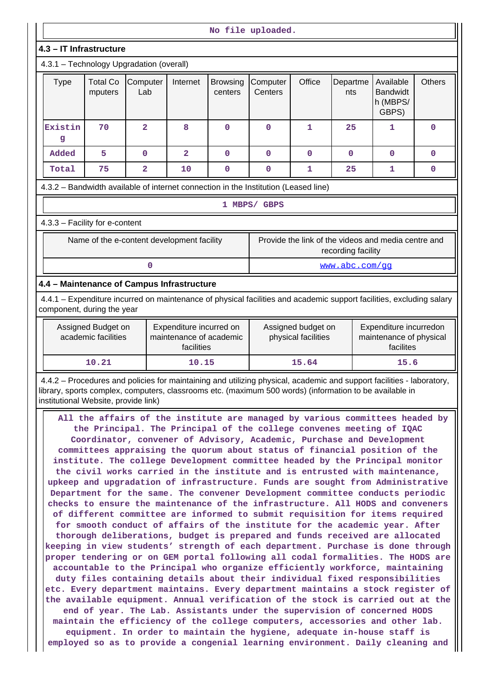| No file uploaded.                                                                                                                                  |                                            |                         |                                                                                                                                                 |              |                                  |                                           |                    |                                                                                                                                                                                                                                                                                                                                                                                                                                                                                                                                                                                                                                                                                                                                                                                                                                                                                                                                                                                                                                                                                                                                                                                                                                                                                                                                                                                                                                                                                                                                                                                                                                                      |              |
|----------------------------------------------------------------------------------------------------------------------------------------------------|--------------------------------------------|-------------------------|-------------------------------------------------------------------------------------------------------------------------------------------------|--------------|----------------------------------|-------------------------------------------|--------------------|------------------------------------------------------------------------------------------------------------------------------------------------------------------------------------------------------------------------------------------------------------------------------------------------------------------------------------------------------------------------------------------------------------------------------------------------------------------------------------------------------------------------------------------------------------------------------------------------------------------------------------------------------------------------------------------------------------------------------------------------------------------------------------------------------------------------------------------------------------------------------------------------------------------------------------------------------------------------------------------------------------------------------------------------------------------------------------------------------------------------------------------------------------------------------------------------------------------------------------------------------------------------------------------------------------------------------------------------------------------------------------------------------------------------------------------------------------------------------------------------------------------------------------------------------------------------------------------------------------------------------------------------------|--------------|
| 4.3 - IT Infrastructure                                                                                                                            |                                            |                         |                                                                                                                                                 |              |                                  |                                           |                    |                                                                                                                                                                                                                                                                                                                                                                                                                                                                                                                                                                                                                                                                                                                                                                                                                                                                                                                                                                                                                                                                                                                                                                                                                                                                                                                                                                                                                                                                                                                                                                                                                                                      |              |
| 4.3.1 - Technology Upgradation (overall)                                                                                                           |                                            |                         |                                                                                                                                                 |              |                                  |                                           |                    |                                                                                                                                                                                                                                                                                                                                                                                                                                                                                                                                                                                                                                                                                                                                                                                                                                                                                                                                                                                                                                                                                                                                                                                                                                                                                                                                                                                                                                                                                                                                                                                                                                                      |              |
| <b>Type</b>                                                                                                                                        | <b>Total Co</b><br>mputers                 | Computer<br>Lab         | Office<br>Internet<br>Departme<br>Available<br><b>Browsing</b><br>Computer<br><b>Bandwidt</b><br>Centers<br>centers<br>nts<br>h (MBPS/<br>GBPS) |              |                                  |                                           |                    | <b>Others</b>                                                                                                                                                                                                                                                                                                                                                                                                                                                                                                                                                                                                                                                                                                                                                                                                                                                                                                                                                                                                                                                                                                                                                                                                                                                                                                                                                                                                                                                                                                                                                                                                                                        |              |
| Existin<br>g                                                                                                                                       | 70                                         | $\overline{a}$          | 8                                                                                                                                               | 0            | $\mathbf 0$<br>25<br>1<br>1<br>0 |                                           |                    |                                                                                                                                                                                                                                                                                                                                                                                                                                                                                                                                                                                                                                                                                                                                                                                                                                                                                                                                                                                                                                                                                                                                                                                                                                                                                                                                                                                                                                                                                                                                                                                                                                                      |              |
| Added                                                                                                                                              | 5                                          | $\mathbf 0$             | $\overline{2}$                                                                                                                                  | $\mathbf{O}$ | $\mathbf 0$                      | $\mathbf 0$                               | $\mathbf 0$        | $\mathbf 0$                                                                                                                                                                                                                                                                                                                                                                                                                                                                                                                                                                                                                                                                                                                                                                                                                                                                                                                                                                                                                                                                                                                                                                                                                                                                                                                                                                                                                                                                                                                                                                                                                                          | $\mathbf{0}$ |
| Total                                                                                                                                              | 75                                         | $\overline{\mathbf{2}}$ | 10                                                                                                                                              | 0            | $\mathbf 0$                      | 1                                         | 25                 | 1                                                                                                                                                                                                                                                                                                                                                                                                                                                                                                                                                                                                                                                                                                                                                                                                                                                                                                                                                                                                                                                                                                                                                                                                                                                                                                                                                                                                                                                                                                                                                                                                                                                    | 0            |
| 4.3.2 - Bandwidth available of internet connection in the Institution (Leased line)                                                                |                                            |                         |                                                                                                                                                 |              |                                  |                                           |                    |                                                                                                                                                                                                                                                                                                                                                                                                                                                                                                                                                                                                                                                                                                                                                                                                                                                                                                                                                                                                                                                                                                                                                                                                                                                                                                                                                                                                                                                                                                                                                                                                                                                      |              |
|                                                                                                                                                    |                                            |                         |                                                                                                                                                 |              | 1 MBPS/ GBPS                     |                                           |                    |                                                                                                                                                                                                                                                                                                                                                                                                                                                                                                                                                                                                                                                                                                                                                                                                                                                                                                                                                                                                                                                                                                                                                                                                                                                                                                                                                                                                                                                                                                                                                                                                                                                      |              |
| 4.3.3 - Facility for e-content                                                                                                                     |                                            |                         |                                                                                                                                                 |              |                                  |                                           |                    |                                                                                                                                                                                                                                                                                                                                                                                                                                                                                                                                                                                                                                                                                                                                                                                                                                                                                                                                                                                                                                                                                                                                                                                                                                                                                                                                                                                                                                                                                                                                                                                                                                                      |              |
|                                                                                                                                                    |                                            |                         |                                                                                                                                                 |              |                                  |                                           |                    |                                                                                                                                                                                                                                                                                                                                                                                                                                                                                                                                                                                                                                                                                                                                                                                                                                                                                                                                                                                                                                                                                                                                                                                                                                                                                                                                                                                                                                                                                                                                                                                                                                                      |              |
|                                                                                                                                                    | Name of the e-content development facility |                         |                                                                                                                                                 |              |                                  |                                           | recording facility | Provide the link of the videos and media centre and                                                                                                                                                                                                                                                                                                                                                                                                                                                                                                                                                                                                                                                                                                                                                                                                                                                                                                                                                                                                                                                                                                                                                                                                                                                                                                                                                                                                                                                                                                                                                                                                  |              |
|                                                                                                                                                    |                                            | $\mathbf 0$             |                                                                                                                                                 |              |                                  |                                           | www.abc.com/qq     |                                                                                                                                                                                                                                                                                                                                                                                                                                                                                                                                                                                                                                                                                                                                                                                                                                                                                                                                                                                                                                                                                                                                                                                                                                                                                                                                                                                                                                                                                                                                                                                                                                                      |              |
| 4.4 - Maintenance of Campus Infrastructure                                                                                                         |                                            |                         |                                                                                                                                                 |              |                                  |                                           |                    |                                                                                                                                                                                                                                                                                                                                                                                                                                                                                                                                                                                                                                                                                                                                                                                                                                                                                                                                                                                                                                                                                                                                                                                                                                                                                                                                                                                                                                                                                                                                                                                                                                                      |              |
| 4.4.1 - Expenditure incurred on maintenance of physical facilities and academic support facilities, excluding salary<br>component, during the year |                                            |                         |                                                                                                                                                 |              |                                  |                                           |                    |                                                                                                                                                                                                                                                                                                                                                                                                                                                                                                                                                                                                                                                                                                                                                                                                                                                                                                                                                                                                                                                                                                                                                                                                                                                                                                                                                                                                                                                                                                                                                                                                                                                      |              |
|                                                                                                                                                    | Assigned Budget on<br>academic facilities  |                         | Expenditure incurred on<br>maintenance of academic<br>facilities                                                                                |              |                                  | Assigned budget on<br>physical facilities |                    | Expenditure incurredon<br>maintenance of physical<br>facilites                                                                                                                                                                                                                                                                                                                                                                                                                                                                                                                                                                                                                                                                                                                                                                                                                                                                                                                                                                                                                                                                                                                                                                                                                                                                                                                                                                                                                                                                                                                                                                                       |              |
|                                                                                                                                                    | 10.21                                      |                         | 10.15                                                                                                                                           |              |                                  | 15.64                                     |                    | 15.6                                                                                                                                                                                                                                                                                                                                                                                                                                                                                                                                                                                                                                                                                                                                                                                                                                                                                                                                                                                                                                                                                                                                                                                                                                                                                                                                                                                                                                                                                                                                                                                                                                                 |              |
| institutional Website, provide link)                                                                                                               |                                            |                         |                                                                                                                                                 |              |                                  |                                           |                    | 4.4.2 - Procedures and policies for maintaining and utilizing physical, academic and support facilities - laboratory,<br>library, sports complex, computers, classrooms etc. (maximum 500 words) (information to be available in                                                                                                                                                                                                                                                                                                                                                                                                                                                                                                                                                                                                                                                                                                                                                                                                                                                                                                                                                                                                                                                                                                                                                                                                                                                                                                                                                                                                                     |              |
|                                                                                                                                                    |                                            |                         |                                                                                                                                                 |              |                                  |                                           |                    | All the affairs of the institute are managed by various committees headed by<br>the Principal. The Principal of the college convenes meeting of IQAC<br>Coordinator, convener of Advisory, Academic, Purchase and Development<br>committees appraising the quorum about status of financial position of the<br>institute. The college Development committee headed by the Principal monitor<br>the civil works carried in the institute and is entrusted with maintenance,<br>upkeep and upgradation of infrastructure. Funds are sought from Administrative<br>Department for the same. The convener Development committee conducts periodic<br>checks to ensure the maintenance of the infrastructure. All HODS and conveners<br>of different committee are informed to submit requisition for items required<br>for smooth conduct of affairs of the institute for the academic year. After<br>thorough deliberations, budget is prepared and funds received are allocated<br>keeping in view students' strength of each department. Purchase is done through<br>proper tendering or on GEM portal following all codal formalities. The HODS are<br>accountable to the Principal who organize efficiently workforce, maintaining<br>duty files containing details about their individual fixed responsibilities<br>etc. Every department maintains. Every department maintains a stock register of<br>the available equipment. Annual verification of the stock is carried out at the<br>end of year. The Lab. Assistants under the supervision of concerned HODS<br>maintain the efficiency of the college computers, accessories and other lab. |              |

**equipment. In order to maintain the hygiene, adequate in-house staff is** employed so as to provide a congenial learning environment. Daily cleaning and  $\|\|$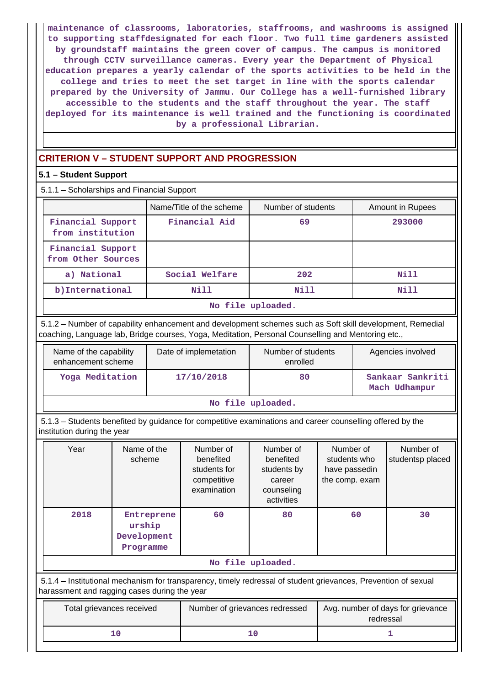**maintenance of classrooms, laboratories, staffrooms, and washrooms is assigned to supporting staffdesignated for each floor. Two full time gardeners assisted by groundstaff maintains the green cover of campus. The campus is monitored through CCTV surveillance cameras. Every year the Department of Physical education prepares a yearly calendar of the sports activities to be held in the college and tries to meet the set target in line with the sports calendar prepared by the University of Jammu. Our College has a well-furnished library accessible to the students and the staff throughout the year. The staff deployed for its maintenance is well trained and the functioning is coordinated by a professional Librarian.**

# **CRITERION V – STUDENT SUPPORT AND PROGRESSION**

# **5.1 – Student Support**

5.1.1 – Scholarships and Financial Support

|                                         | Name/Title of the scheme | Number of students | <b>Amount in Rupees</b> |  |  |  |  |
|-----------------------------------------|--------------------------|--------------------|-------------------------|--|--|--|--|
| Financial Support<br>from institution   | Financial Aid            | 69                 | 293000                  |  |  |  |  |
| Financial Support<br>from Other Sources |                          |                    |                         |  |  |  |  |
| a) National                             | Social Welfare           | 202                | Nill                    |  |  |  |  |
| b) International                        | Nill                     | Nill               | Nill                    |  |  |  |  |
|                                         | No file uploaded.        |                    |                         |  |  |  |  |

 5.1.2 – Number of capability enhancement and development schemes such as Soft skill development, Remedial coaching, Language lab, Bridge courses, Yoga, Meditation, Personal Counselling and Mentoring etc.,

| Name of the capability<br>enhancement scheme | Date of implemetation | Number of students<br>enrolled | Agencies involved                 |  |  |  |
|----------------------------------------------|-----------------------|--------------------------------|-----------------------------------|--|--|--|
| Yoga Meditation                              | 17/10/2018            | 80                             | Sankaar Sankriti<br>Mach Udhampur |  |  |  |
| No file uploaded.                            |                       |                                |                                   |  |  |  |

 5.1.3 – Students benefited by guidance for competitive examinations and career counselling offered by the institution during the year

| Year                                                                                                                                                           | Name of the<br>scheme                            | Number of<br>Number of<br>benefited<br>benefited<br>students for<br>students by<br>competitive<br>career<br>examination<br>counseling<br>activities |                   | Number of<br>students who<br>have passedin<br>the comp. exam | Number of<br>studentsp placed |  |
|----------------------------------------------------------------------------------------------------------------------------------------------------------------|--------------------------------------------------|-----------------------------------------------------------------------------------------------------------------------------------------------------|-------------------|--------------------------------------------------------------|-------------------------------|--|
| 2018                                                                                                                                                           | Entreprene<br>urship<br>Development<br>Programme | 60<br>80                                                                                                                                            |                   | 60                                                           | 30                            |  |
|                                                                                                                                                                |                                                  |                                                                                                                                                     | No file uploaded. |                                                              |                               |  |
| 5.1.4 – Institutional mechanism for transparency, timely redressal of student grievances, Prevention of sexual<br>harassment and ragging cases during the year |                                                  |                                                                                                                                                     |                   |                                                              |                               |  |
| Total grievances received                                                                                                                                      |                                                  | Number of grievances redressed                                                                                                                      |                   | Avg. number of days for grievance<br>redressal               |                               |  |
|                                                                                                                                                                | 10                                               |                                                                                                                                                     | 10                |                                                              |                               |  |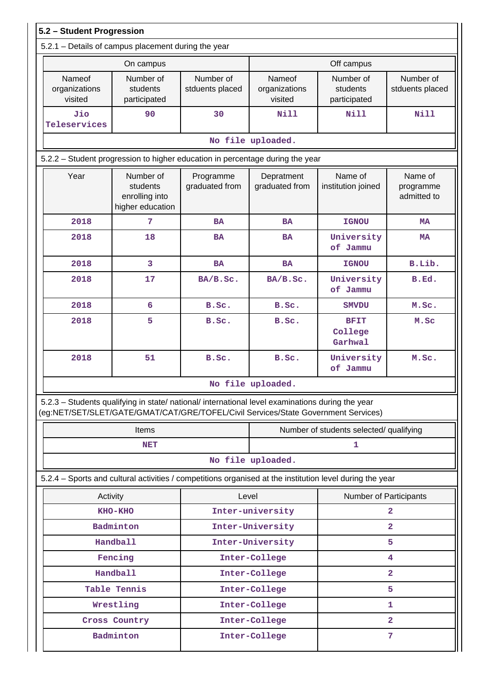| 5.2 - Student Progression                                                                                                                                                              |                                                             |                              |                                         |                                       |                                     |  |  |  |
|----------------------------------------------------------------------------------------------------------------------------------------------------------------------------------------|-------------------------------------------------------------|------------------------------|-----------------------------------------|---------------------------------------|-------------------------------------|--|--|--|
| 5.2.1 - Details of campus placement during the year                                                                                                                                    |                                                             |                              |                                         |                                       |                                     |  |  |  |
|                                                                                                                                                                                        | On campus                                                   |                              | Off campus                              |                                       |                                     |  |  |  |
| <b>Nameof</b><br>organizations<br>visited                                                                                                                                              | Number of<br>students<br>participated                       | Number of<br>stduents placed | Nameof<br>organizations<br>visited      | Number of<br>students<br>participated | Number of<br>stduents placed        |  |  |  |
| Jio<br>Teleservices                                                                                                                                                                    | 90                                                          | 30                           | <b>Nill</b>                             | Nill                                  | <b>Nill</b>                         |  |  |  |
|                                                                                                                                                                                        |                                                             |                              | No file uploaded.                       |                                       |                                     |  |  |  |
| 5.2.2 - Student progression to higher education in percentage during the year                                                                                                          |                                                             |                              |                                         |                                       |                                     |  |  |  |
| Year                                                                                                                                                                                   | Number of<br>students<br>enrolling into<br>higher education | Programme<br>graduated from  | Depratment<br>graduated from            | Name of<br>institution joined         | Name of<br>programme<br>admitted to |  |  |  |
| 2018                                                                                                                                                                                   | 7                                                           | <b>BA</b>                    | <b>BA</b>                               | <b>IGNOU</b>                          | <b>MA</b>                           |  |  |  |
| 2018                                                                                                                                                                                   | 18                                                          | <b>BA</b>                    | <b>BA</b>                               | University<br>of Jammu                | <b>MA</b>                           |  |  |  |
| 2018                                                                                                                                                                                   | 3                                                           | <b>BA</b>                    | <b>BA</b>                               | <b>IGNOU</b>                          | B.Lib.                              |  |  |  |
| 2018                                                                                                                                                                                   | 17                                                          | BA/B.Sc.                     | BA/B.Sc.                                | University<br>of Jammu                | B.Ed.                               |  |  |  |
| 2018                                                                                                                                                                                   | 6                                                           | B.Sc.                        | B.Sc.                                   | <b>SMVDU</b>                          | M.Sc.                               |  |  |  |
| 2018                                                                                                                                                                                   | 5                                                           | B.Sc.                        | B.Sc.                                   | <b>BFIT</b><br>College<br>Garhwal     | M.Sc                                |  |  |  |
| 2018                                                                                                                                                                                   | 51                                                          |                              | B.Sc.                                   | University<br>of Jammu                | M.Sc.                               |  |  |  |
|                                                                                                                                                                                        |                                                             |                              | No file uploaded.                       |                                       |                                     |  |  |  |
| 5.2.3 - Students qualifying in state/ national/ international level examinations during the year<br>(eg:NET/SET/SLET/GATE/GMAT/CAT/GRE/TOFEL/Civil Services/State Government Services) |                                                             |                              |                                         |                                       |                                     |  |  |  |
|                                                                                                                                                                                        | <b>Items</b>                                                |                              | Number of students selected/ qualifying |                                       |                                     |  |  |  |
|                                                                                                                                                                                        | <b>NET</b>                                                  |                              |                                         | 1                                     |                                     |  |  |  |
|                                                                                                                                                                                        |                                                             |                              | No file uploaded.                       |                                       |                                     |  |  |  |
| 5.2.4 – Sports and cultural activities / competitions organised at the institution level during the year                                                                               |                                                             |                              |                                         |                                       |                                     |  |  |  |
|                                                                                                                                                                                        | Activity                                                    | Level                        |                                         | Number of Participants                |                                     |  |  |  |
|                                                                                                                                                                                        | KHO-KHO                                                     |                              | Inter-university                        | $\overline{\mathbf{2}}$               |                                     |  |  |  |
|                                                                                                                                                                                        | Badminton                                                   |                              | Inter-University                        |                                       | $\mathbf{2}$                        |  |  |  |
|                                                                                                                                                                                        | <b>Handball</b>                                             |                              | Inter-University                        |                                       | 5                                   |  |  |  |
|                                                                                                                                                                                        | Fencing                                                     |                              | Inter-College                           |                                       | 4                                   |  |  |  |
|                                                                                                                                                                                        | <b>Handball</b>                                             |                              | Inter-College                           |                                       | $\overline{a}$                      |  |  |  |
|                                                                                                                                                                                        | Table Tennis                                                |                              | Inter-College                           |                                       | 5                                   |  |  |  |
|                                                                                                                                                                                        | Wrestling<br>Cross Country                                  |                              | Inter-College<br>Inter-College          |                                       | 1<br>$\overline{2}$                 |  |  |  |
|                                                                                                                                                                                        | Badminton                                                   |                              | Inter-College                           |                                       | 7                                   |  |  |  |
|                                                                                                                                                                                        |                                                             |                              |                                         |                                       |                                     |  |  |  |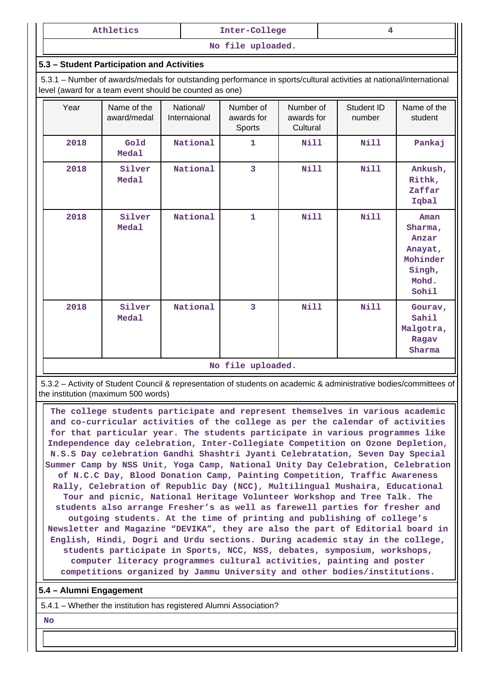| Athletics | Inter-College |  |
|-----------|---------------|--|
|-----------|---------------|--|

**No file uploaded.**

#### **5.3 – Student Participation and Activities**

 5.3.1 – Number of awards/medals for outstanding performance in sports/cultural activities at national/international level (award for a team event should be counted as one)

| Year | Name of the<br>award/medal | National/<br>Internaional | Number of<br>awards for<br>Sports | Number of<br>awards for<br>Cultural | Student ID<br>number | Name of the<br>student                                                      |
|------|----------------------------|---------------------------|-----------------------------------|-------------------------------------|----------------------|-----------------------------------------------------------------------------|
| 2018 | Gold<br>Medal              | National                  | 1                                 | <b>Nill</b>                         | <b>Nill</b>          | Pankaj                                                                      |
| 2018 | Silver<br><b>Medal</b>     | National                  | 3                                 | Nill                                | Nill                 | Ankush,<br>Rithk,<br>Zaffar<br>Iqbal                                        |
| 2018 | Silver<br><b>Medal</b>     | National                  | 1                                 | <b>Nill</b>                         | <b>Nill</b>          | Aman<br>Sharma,<br>Anzar<br>Anayat,<br>Mohinder<br>Singh,<br>Mohd.<br>Sohil |
| 2018 | Silver<br><b>Medal</b>     | National                  | 3                                 | Nill                                | Nill                 | Gourav,<br>Sahil<br>Malgotra,<br>Ragav<br>Sharma                            |
|      |                            |                           | No file uploaded.                 |                                     |                      |                                                                             |

 5.3.2 – Activity of Student Council & representation of students on academic & administrative bodies/committees of the institution (maximum 500 words)

 **The college students participate and represent themselves in various academic and co-curricular activities of the college as per the calendar of activities for that particular year. The students participate in various programmes like Independence day celebration, Inter-Collegiate Competition on Ozone Depletion, N.S.S Day celebration Gandhi Shashtri Jyanti Celebratation, Seven Day Special Summer Camp by NSS Unit, Yoga Camp, National Unity Day Celebration, Celebration of N.C.C Day, Blood Donation Camp, Painting Competition, Traffic Awareness Rally, Celebration of Republic Day (NCC), Multilingual Mushaira, Educational Tour and picnic, National Heritage Volunteer Workshop and Tree Talk. The students also arrange Fresher's as well as farewell parties for fresher and outgoing students. At the time of printing and publishing of college's Newsletter and Magazine "DEVIKA", they are also the part of Editorial board in English, Hindi, Dogri and Urdu sections. During academic stay in the college, students participate in Sports, NCC, NSS, debates, symposium, workshops, computer literacy programmes cultural activities, painting and poster competitions organized by Jammu University and other bodies/institutions.**

### **5.4 – Alumni Engagement**

5.4.1 – Whether the institution has registered Alumni Association?

 **No**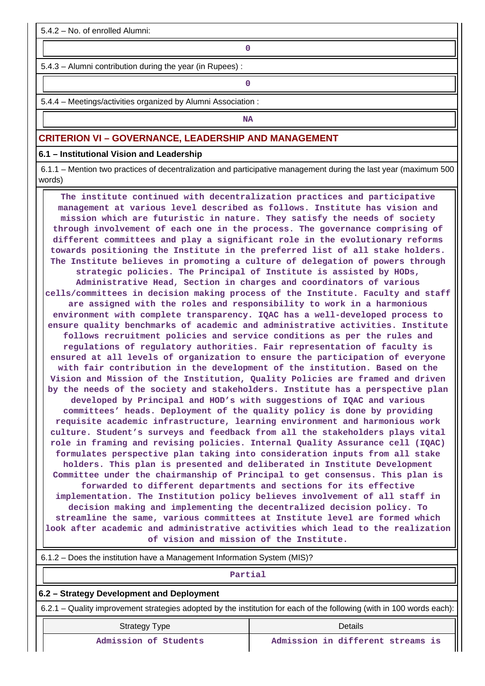5.4.2 – No. of enrolled Alumni:

**0**

5.4.3 – Alumni contribution during the year (in Rupees) :

**0**

5.4.4 – Meetings/activities organized by Alumni Association :

**NA** 

# **CRITERION VI – GOVERNANCE, LEADERSHIP AND MANAGEMENT**

**6.1 – Institutional Vision and Leadership**

 6.1.1 – Mention two practices of decentralization and participative management during the last year (maximum 500 words)

 **The institute continued with decentralization practices and participative management at various level described as follows. Institute has vision and mission which are futuristic in nature. They satisfy the needs of society through involvement of each one in the process. The governance comprising of different committees and play a significant role in the evolutionary reforms towards positioning the Institute in the preferred list of all stake holders. The Institute believes in promoting a culture of delegation of powers through strategic policies. The Principal of Institute is assisted by HODs, Administrative Head, Section in charges and coordinators of various cells/committees in decision making process of the Institute. Faculty and staff are assigned with the roles and responsibility to work in a harmonious environment with complete transparency. IQAC has a well-developed process to ensure quality benchmarks of academic and administrative activities. Institute follows recruitment policies and service conditions as per the rules and regulations of regulatory authorities. Fair representation of faculty is ensured at all levels of organization to ensure the participation of everyone with fair contribution in the development of the institution. Based on the Vision and Mission of the Institution, Quality Policies are framed and driven by the needs of the society and stakeholders. Institute has a perspective plan developed by Principal and HOD's with suggestions of IQAC and various committees' heads. Deployment of the quality policy is done by providing requisite academic infrastructure, learning environment and harmonious work culture. Student's surveys and feedback from all the stakeholders plays vital role in framing and revising policies. Internal Quality Assurance cell (IQAC) formulates perspective plan taking into consideration inputs from all stake holders. This plan is presented and deliberated in Institute Development Committee under the chairmanship of Principal to get consensus. This plan is forwarded to different departments and sections for its effective implementation. The Institution policy believes involvement of all staff in decision making and implementing the decentralized decision policy. To streamline the same, various committees at Institute level are formed which look after academic and administrative activities which lead to the realization of vision and mission of the Institute.**

| 6.1.2 – Does the institution have a Management Information System (MIS)?                                              |
|-----------------------------------------------------------------------------------------------------------------------|
| Partial                                                                                                               |
| 6.2 - Strategy Development and Deployment                                                                             |
| 6.2.1 – Quality improvement strategies adopted by the institution for each of the following (with in 100 words each): |
|                                                                                                                       |

| .<br>--               |  |  |  |  |  |  |
|-----------------------|--|--|--|--|--|--|
| Admission of Students |  |  |  |  |  |  |

Strategy Type Details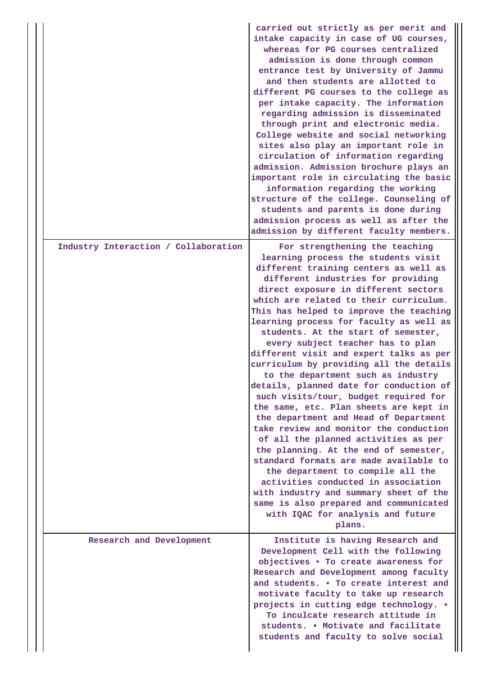|  |                                      | carried out strictly as per merit and<br>intake capacity in case of UG courses,<br>whereas for PG courses centralized<br>admission is done through common<br>entrance test by University of Jammu<br>and then students are allotted to<br>different PG courses to the college as<br>per intake capacity. The information<br>regarding admission is disseminated<br>through print and electronic media.<br>College website and social networking<br>sites also play an important role in<br>circulation of information regarding<br>admission. Admission brochure plays an<br>important role in circulating the basic<br>information regarding the working<br>structure of the college. Counseling of<br>students and parents is done during<br>admission process as well as after the<br>admission by different faculty members.                                                                                                                                                                                                                                                                |
|--|--------------------------------------|-------------------------------------------------------------------------------------------------------------------------------------------------------------------------------------------------------------------------------------------------------------------------------------------------------------------------------------------------------------------------------------------------------------------------------------------------------------------------------------------------------------------------------------------------------------------------------------------------------------------------------------------------------------------------------------------------------------------------------------------------------------------------------------------------------------------------------------------------------------------------------------------------------------------------------------------------------------------------------------------------------------------------------------------------------------------------------------------------|
|  | Industry Interaction / Collaboration | For strengthening the teaching<br>learning process the students visit<br>different training centers as well as<br>different industries for providing<br>direct exposure in different sectors<br>which are related to their curriculum.<br>This has helped to improve the teaching<br>learning process for faculty as well as<br>students. At the start of semester,<br>every subject teacher has to plan<br>different visit and expert talks as per<br>curriculum by providing all the details<br>to the department such as industry<br>details, planned date for conduction of<br>such visits/tour, budget required for<br>the same, etc. Plan sheets are kept in<br>the department and Head of Department<br>take review and monitor the conduction<br>of all the planned activities as per<br>the planning. At the end of semester,<br>standard formats are made available to<br>the department to compile all the<br>activities conducted in association<br>with industry and summary sheet of the<br>same is also prepared and communicated<br>with IQAC for analysis and future<br>plans. |
|  | Research and Development             | Institute is having Research and<br>Development Cell with the following<br>objectives . To create awareness for<br>Research and Development among faculty<br>and students. . To create interest and<br>motivate faculty to take up research<br>projects in cutting edge technology. .<br>To inculcate research attitude in<br>students. . Motivate and facilitate<br>students and faculty to solve social                                                                                                                                                                                                                                                                                                                                                                                                                                                                                                                                                                                                                                                                                       |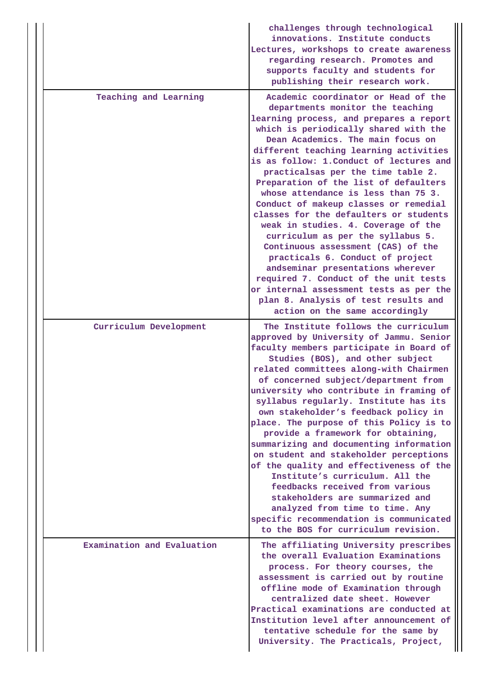|                            | challenges through technological<br>innovations. Institute conducts<br>Lectures, workshops to create awareness<br>regarding research. Promotes and<br>supports faculty and students for<br>publishing their research work.                                                                                                                                                                                                                                                                                                                                                                                                                                                                                                                                                                                                                               |
|----------------------------|----------------------------------------------------------------------------------------------------------------------------------------------------------------------------------------------------------------------------------------------------------------------------------------------------------------------------------------------------------------------------------------------------------------------------------------------------------------------------------------------------------------------------------------------------------------------------------------------------------------------------------------------------------------------------------------------------------------------------------------------------------------------------------------------------------------------------------------------------------|
| Teaching and Learning      | Academic coordinator or Head of the<br>departments monitor the teaching<br>learning process, and prepares a report<br>which is periodically shared with the<br>Dean Academics. The main focus on<br>different teaching learning activities<br>is as follow: 1. Conduct of lectures and<br>practicalsas per the time table 2.<br>Preparation of the list of defaulters<br>whose attendance is less than 75 3.<br>Conduct of makeup classes or remedial<br>classes for the defaulters or students<br>weak in studies. 4. Coverage of the<br>curriculum as per the syllabus 5.<br>Continuous assessment (CAS) of the<br>practicals 6. Conduct of project<br>andseminar presentations wherever<br>required 7. Conduct of the unit tests<br>or internal assessment tests as per the<br>plan 8. Analysis of test results and<br>action on the same accordingly |
| Curriculum Development     | The Institute follows the curriculum<br>approved by University of Jammu. Senior<br>faculty members participate in Board of<br>Studies (BOS), and other subject<br>related committees along-with Chairmen<br>of concerned subject/department from<br>university who contribute in framing of<br>syllabus regularly. Institute has its<br>own stakeholder's feedback policy in<br>place. The purpose of this Policy is to<br>provide a framework for obtaining,<br>summarizing and documenting information<br>on student and stakeholder perceptions<br>of the quality and effectiveness of the<br>Institute's curriculum. All the<br>feedbacks received from various<br>stakeholders are summarized and<br>analyzed from time to time. Any<br>specific recommendation is communicated<br>to the BOS for curriculum revision.                              |
| Examination and Evaluation | The affiliating University prescribes<br>the overall Evaluation Examinations<br>process. For theory courses, the<br>assessment is carried out by routine<br>offline mode of Examination through<br>centralized date sheet. However<br>Practical examinations are conducted at<br>Institution level after announcement of<br>tentative schedule for the same by<br>University. The Practicals, Project,                                                                                                                                                                                                                                                                                                                                                                                                                                                   |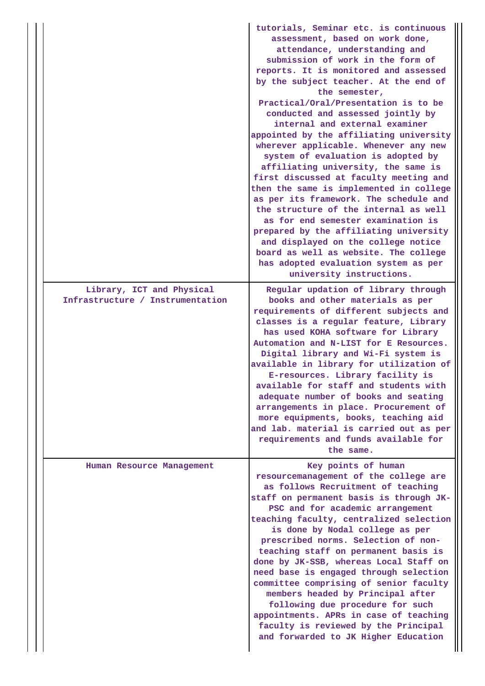|                                                               | tutorials, Seminar etc. is continuous<br>assessment, based on work done,<br>attendance, understanding and<br>submission of work in the form of<br>reports. It is monitored and assessed<br>by the subject teacher. At the end of<br>the semester,<br>Practical/Oral/Presentation is to be<br>conducted and assessed jointly by<br>internal and external examiner<br>appointed by the affiliating university<br>wherever applicable. Whenever any new<br>system of evaluation is adopted by<br>affiliating university, the same is<br>first discussed at faculty meeting and<br>then the same is implemented in college<br>as per its framework. The schedule and<br>the structure of the internal as well<br>as for end semester examination is<br>prepared by the affiliating university<br>and displayed on the college notice<br>board as well as website. The college<br>has adopted evaluation system as per<br>university instructions. |
|---------------------------------------------------------------|-----------------------------------------------------------------------------------------------------------------------------------------------------------------------------------------------------------------------------------------------------------------------------------------------------------------------------------------------------------------------------------------------------------------------------------------------------------------------------------------------------------------------------------------------------------------------------------------------------------------------------------------------------------------------------------------------------------------------------------------------------------------------------------------------------------------------------------------------------------------------------------------------------------------------------------------------|
| Library, ICT and Physical<br>Infrastructure / Instrumentation | Regular updation of library through<br>books and other materials as per<br>requirements of different subjects and<br>classes is a regular feature, Library<br>has used KOHA software for Library<br>Automation and N-LIST for E Resources.<br>Digital library and Wi-Fi system is<br>available in library for utilization of<br>E-resources. Library facility is<br>available for staff and students with<br>adequate number of books and seating<br>arrangements in place. Procurement of<br>more equipments, books, teaching aid<br>and lab. material is carried out as per<br>requirements and funds available for<br>the same.                                                                                                                                                                                                                                                                                                            |
| Human Resource Management                                     | Key points of human<br>resourcemanagement of the college are<br>as follows Recruitment of teaching<br>staff on permanent basis is through JK-<br>PSC and for academic arrangement<br>teaching faculty, centralized selection<br>is done by Nodal college as per<br>prescribed norms. Selection of non-<br>teaching staff on permanent basis is<br>done by JK-SSB, whereas Local Staff on<br>need base is engaged through selection<br>committee comprising of senior faculty<br>members headed by Principal after<br>following due procedure for such<br>appointments. APRs in case of teaching<br>faculty is reviewed by the Principal<br>and forwarded to JK Higher Education                                                                                                                                                                                                                                                               |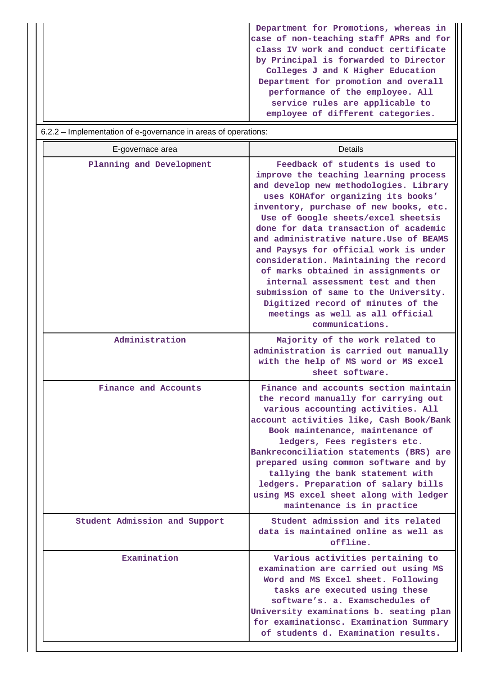**Department for Promotions, whereas in case of non-teaching staff APRs and for class IV work and conduct certificate by Principal is forwarded to Director Colleges J and K Higher Education Department for promotion and overall performance of the employee. All service rules are applicable to employee of different categories.**

| 6.2.2 – Implementation of e-governance in areas of operations: |                                                                                                                                                                                                                                                                                                                                                                                                                                                                                                                                                                                                                                   |  |  |  |  |  |  |
|----------------------------------------------------------------|-----------------------------------------------------------------------------------------------------------------------------------------------------------------------------------------------------------------------------------------------------------------------------------------------------------------------------------------------------------------------------------------------------------------------------------------------------------------------------------------------------------------------------------------------------------------------------------------------------------------------------------|--|--|--|--|--|--|
| E-governace area                                               | <b>Details</b>                                                                                                                                                                                                                                                                                                                                                                                                                                                                                                                                                                                                                    |  |  |  |  |  |  |
| Planning and Development                                       | Feedback of students is used to<br>improve the teaching learning process<br>and develop new methodologies. Library<br>uses KOHAfor organizing its books'<br>inventory, purchase of new books, etc.<br>Use of Google sheets/excel sheetsis<br>done for data transaction of academic<br>and administrative nature. Use of BEAMS<br>and Paysys for official work is under<br>consideration. Maintaining the record<br>of marks obtained in assignments or<br>internal assessment test and then<br>submission of same to the University.<br>Digitized record of minutes of the<br>meetings as well as all official<br>communications. |  |  |  |  |  |  |
| Administration                                                 | Majority of the work related to<br>administration is carried out manually<br>with the help of MS word or MS excel<br>sheet software.                                                                                                                                                                                                                                                                                                                                                                                                                                                                                              |  |  |  |  |  |  |
| Finance and Accounts                                           | Finance and accounts section maintain<br>the record manually for carrying out<br>various accounting activities. All<br>account activities like, Cash Book/Bank<br>Book maintenance, maintenance of<br>ledgers, Fees registers etc.<br>Bankreconciliation statements (BRS) are<br>prepared using common software and by<br>tallying the bank statement with<br>ledgers. Preparation of salary bills<br>using MS excel sheet along with ledger<br>maintenance is in practice                                                                                                                                                        |  |  |  |  |  |  |
| Student Admission and Support                                  | Student admission and its related<br>data is maintained online as well as<br>offline.                                                                                                                                                                                                                                                                                                                                                                                                                                                                                                                                             |  |  |  |  |  |  |
| Examination                                                    | Various activities pertaining to<br>examination are carried out using MS<br>Word and MS Excel sheet. Following<br>tasks are executed using these<br>software's, a. Examschedules of<br>University examinations b. seating plan<br>for examinationsc. Examination Summary<br>of students d. Examination results.                                                                                                                                                                                                                                                                                                                   |  |  |  |  |  |  |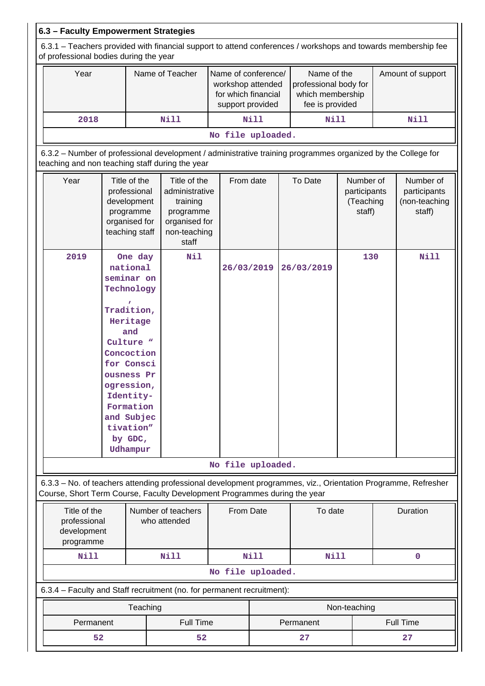|                            | 6.3 - Faculty Empowerment Strategies                                                                                                                    |  |                                                                                                                                                                                                                                  |                                                                                                                                                                                            |                                                                                     |             |                                                                             |                                                  |    |                                                      |
|----------------------------|---------------------------------------------------------------------------------------------------------------------------------------------------------|--|----------------------------------------------------------------------------------------------------------------------------------------------------------------------------------------------------------------------------------|--------------------------------------------------------------------------------------------------------------------------------------------------------------------------------------------|-------------------------------------------------------------------------------------|-------------|-----------------------------------------------------------------------------|--------------------------------------------------|----|------------------------------------------------------|
|                            | 6.3.1 – Teachers provided with financial support to attend conferences / workshops and towards membership fee<br>of professional bodies during the year |  |                                                                                                                                                                                                                                  |                                                                                                                                                                                            |                                                                                     |             |                                                                             |                                                  |    |                                                      |
|                            | Year                                                                                                                                                    |  |                                                                                                                                                                                                                                  | Name of Teacher                                                                                                                                                                            | Name of conference/<br>workshop attended<br>for which financial<br>support provided |             | Name of the<br>professional body for<br>which membership<br>fee is provided |                                                  |    | Amount of support                                    |
|                            | 2018                                                                                                                                                    |  |                                                                                                                                                                                                                                  | Nill                                                                                                                                                                                       |                                                                                     | <b>Nill</b> | <b>Nill</b>                                                                 |                                                  |    | <b>Nill</b>                                          |
|                            |                                                                                                                                                         |  |                                                                                                                                                                                                                                  |                                                                                                                                                                                            | No file uploaded.                                                                   |             |                                                                             |                                                  |    |                                                      |
|                            |                                                                                                                                                         |  |                                                                                                                                                                                                                                  | 6.3.2 - Number of professional development / administrative training programmes organized by the College for<br>teaching and non teaching staff during the year                            |                                                                                     |             |                                                                             |                                                  |    |                                                      |
|                            | Year                                                                                                                                                    |  | Title of the<br>professional<br>development<br>programme<br>organised for<br>teaching staff                                                                                                                                      | Title of the<br>administrative<br>training<br>programme<br>organised for<br>non-teaching<br>staff                                                                                          | From date                                                                           |             | To Date                                                                     | Number of<br>participants<br>(Teaching<br>staff) |    | Number of<br>participants<br>(non-teaching<br>staff) |
|                            | 2019                                                                                                                                                    |  | One day<br>national<br>seminar on<br>Technology<br>Tradition,<br>Heritage<br>and<br>Culture "<br>Concoction<br>for Consci<br>ousness Pr<br>ogression<br>Identity-<br>Formation<br>and Subjec<br>tivation"<br>by GDC,<br>Udhampur | Nil                                                                                                                                                                                        | 26/03/2019                                                                          |             | 26/03/2019                                                                  | 130                                              |    | <b>Nill</b>                                          |
|                            |                                                                                                                                                         |  |                                                                                                                                                                                                                                  |                                                                                                                                                                                            | No file uploaded.                                                                   |             |                                                                             |                                                  |    |                                                      |
|                            |                                                                                                                                                         |  |                                                                                                                                                                                                                                  | 6.3.3 - No. of teachers attending professional development programmes, viz., Orientation Programme, Refresher<br>Course, Short Term Course, Faculty Development Programmes during the year |                                                                                     |             |                                                                             |                                                  |    |                                                      |
|                            | Number of teachers<br>Title of the<br>professional<br>who attended<br>development<br>programme                                                          |  |                                                                                                                                                                                                                                  | From Date                                                                                                                                                                                  |                                                                                     | To date     |                                                                             | Duration                                         |    |                                                      |
| <b>Nill</b><br><b>Nill</b> |                                                                                                                                                         |  |                                                                                                                                                                                                                                  | <b>Nill</b>                                                                                                                                                                                | <b>Nill</b>                                                                         |             |                                                                             | $\mathbf 0$                                      |    |                                                      |
|                            |                                                                                                                                                         |  |                                                                                                                                                                                                                                  |                                                                                                                                                                                            | No file uploaded.                                                                   |             |                                                                             |                                                  |    |                                                      |
|                            |                                                                                                                                                         |  |                                                                                                                                                                                                                                  | 6.3.4 - Faculty and Staff recruitment (no. for permanent recruitment):                                                                                                                     |                                                                                     |             |                                                                             |                                                  |    |                                                      |
|                            |                                                                                                                                                         |  | Teaching                                                                                                                                                                                                                         |                                                                                                                                                                                            |                                                                                     |             |                                                                             | Non-teaching                                     |    |                                                      |
|                            | Permanent                                                                                                                                               |  |                                                                                                                                                                                                                                  | Full Time                                                                                                                                                                                  |                                                                                     |             | Permanent                                                                   |                                                  |    | Full Time                                            |
| 52<br>52                   |                                                                                                                                                         |  |                                                                                                                                                                                                                                  |                                                                                                                                                                                            |                                                                                     | 27          |                                                                             |                                                  | 27 |                                                      |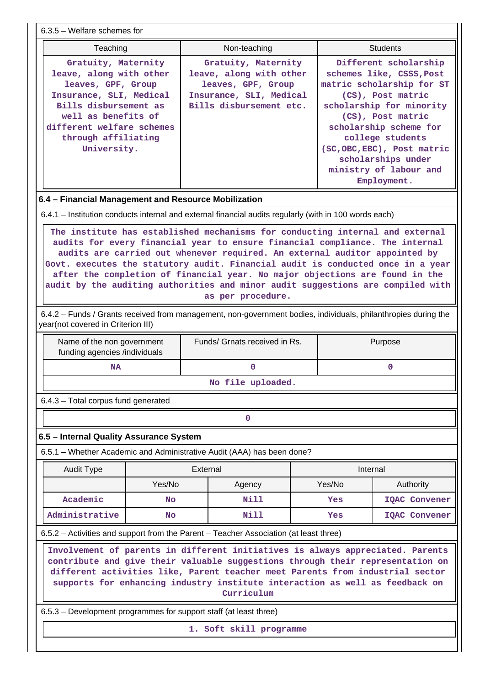| $6.3.5$ – Welfare schemes for                                                                                                                                                                                                                                                                                                                   |           |                                                                                                                                                                                                                                                                                                                                                                                                                                                                                                                                                                                                                                          |  |          |                                                                                                                                                                                                                                                                                                  |  |  |
|-------------------------------------------------------------------------------------------------------------------------------------------------------------------------------------------------------------------------------------------------------------------------------------------------------------------------------------------------|-----------|------------------------------------------------------------------------------------------------------------------------------------------------------------------------------------------------------------------------------------------------------------------------------------------------------------------------------------------------------------------------------------------------------------------------------------------------------------------------------------------------------------------------------------------------------------------------------------------------------------------------------------------|--|----------|--------------------------------------------------------------------------------------------------------------------------------------------------------------------------------------------------------------------------------------------------------------------------------------------------|--|--|
| Teaching                                                                                                                                                                                                                                                                                                                                        |           | Non-teaching                                                                                                                                                                                                                                                                                                                                                                                                                                                                                                                                                                                                                             |  |          | <b>Students</b>                                                                                                                                                                                                                                                                                  |  |  |
| Gratuity, Maternity<br>leave, along with other<br>leaves, GPF, Group<br>Insurance, SLI, Medical<br>Bills disbursement as<br>well as benefits of<br>different welfare schemes<br>through affiliating<br>University.                                                                                                                              |           | Gratuity, Maternity<br>leave, along with other<br>leaves, GPF, Group<br>Insurance, SLI, Medical<br>Bills disbursement etc.                                                                                                                                                                                                                                                                                                                                                                                                                                                                                                               |  |          | Different scholarship<br>schemes like, CSSS, Post<br>matric scholarship for ST<br>(CS), Post matric<br>scholarship for minority<br>(CS), Post matric<br>scholarship scheme for<br>college students<br>(SC, OBC, EBC), Post matric<br>scholarships under<br>ministry of labour and<br>Employment. |  |  |
| 6.4 - Financial Management and Resource Mobilization                                                                                                                                                                                                                                                                                            |           |                                                                                                                                                                                                                                                                                                                                                                                                                                                                                                                                                                                                                                          |  |          |                                                                                                                                                                                                                                                                                                  |  |  |
|                                                                                                                                                                                                                                                                                                                                                 |           | 6.4.1 – Institution conducts internal and external financial audits regularly (with in 100 words each)                                                                                                                                                                                                                                                                                                                                                                                                                                                                                                                                   |  |          |                                                                                                                                                                                                                                                                                                  |  |  |
|                                                                                                                                                                                                                                                                                                                                                 |           | The institute has established mechanisms for conducting internal and external<br>audits for every financial year to ensure financial compliance. The internal<br>audits are carried out whenever required. An external auditor appointed by<br>Govt. executes the statutory audit. Financial audit is conducted once in a year<br>after the completion of financial year. No major objections are found in the<br>audit by the auditing authorities and minor audit suggestions are compiled with<br>as per procedure.<br>6.4.2 - Funds / Grants received from management, non-government bodies, individuals, philanthropies during the |  |          |                                                                                                                                                                                                                                                                                                  |  |  |
| year(not covered in Criterion III)                                                                                                                                                                                                                                                                                                              |           |                                                                                                                                                                                                                                                                                                                                                                                                                                                                                                                                                                                                                                          |  |          |                                                                                                                                                                                                                                                                                                  |  |  |
| Name of the non government<br>funding agencies /individuals                                                                                                                                                                                                                                                                                     |           | Funds/ Grnats received in Rs.                                                                                                                                                                                                                                                                                                                                                                                                                                                                                                                                                                                                            |  |          | Purpose                                                                                                                                                                                                                                                                                          |  |  |
| <b>NA</b>                                                                                                                                                                                                                                                                                                                                       |           | 0                                                                                                                                                                                                                                                                                                                                                                                                                                                                                                                                                                                                                                        |  |          | $\mathbf 0$                                                                                                                                                                                                                                                                                      |  |  |
|                                                                                                                                                                                                                                                                                                                                                 |           | No file uploaded.                                                                                                                                                                                                                                                                                                                                                                                                                                                                                                                                                                                                                        |  |          |                                                                                                                                                                                                                                                                                                  |  |  |
| 6.4.3 - Total corpus fund generated                                                                                                                                                                                                                                                                                                             |           |                                                                                                                                                                                                                                                                                                                                                                                                                                                                                                                                                                                                                                          |  |          |                                                                                                                                                                                                                                                                                                  |  |  |
|                                                                                                                                                                                                                                                                                                                                                 |           | 0                                                                                                                                                                                                                                                                                                                                                                                                                                                                                                                                                                                                                                        |  |          |                                                                                                                                                                                                                                                                                                  |  |  |
| 6.5 - Internal Quality Assurance System                                                                                                                                                                                                                                                                                                         |           |                                                                                                                                                                                                                                                                                                                                                                                                                                                                                                                                                                                                                                          |  |          |                                                                                                                                                                                                                                                                                                  |  |  |
|                                                                                                                                                                                                                                                                                                                                                 |           | 6.5.1 – Whether Academic and Administrative Audit (AAA) has been done?                                                                                                                                                                                                                                                                                                                                                                                                                                                                                                                                                                   |  |          |                                                                                                                                                                                                                                                                                                  |  |  |
| <b>Audit Type</b>                                                                                                                                                                                                                                                                                                                               |           | External                                                                                                                                                                                                                                                                                                                                                                                                                                                                                                                                                                                                                                 |  | Internal |                                                                                                                                                                                                                                                                                                  |  |  |
|                                                                                                                                                                                                                                                                                                                                                 | Yes/No    | Agency                                                                                                                                                                                                                                                                                                                                                                                                                                                                                                                                                                                                                                   |  | Yes/No   | Authority                                                                                                                                                                                                                                                                                        |  |  |
| Academic                                                                                                                                                                                                                                                                                                                                        | <b>No</b> | Nill                                                                                                                                                                                                                                                                                                                                                                                                                                                                                                                                                                                                                                     |  | Yes      | IQAC Convener                                                                                                                                                                                                                                                                                    |  |  |
| Administrative                                                                                                                                                                                                                                                                                                                                  | No        | Nill                                                                                                                                                                                                                                                                                                                                                                                                                                                                                                                                                                                                                                     |  | Yes      | <b>IQAC Convener</b>                                                                                                                                                                                                                                                                             |  |  |
|                                                                                                                                                                                                                                                                                                                                                 |           | 6.5.2 - Activities and support from the Parent - Teacher Association (at least three)                                                                                                                                                                                                                                                                                                                                                                                                                                                                                                                                                    |  |          |                                                                                                                                                                                                                                                                                                  |  |  |
| Involvement of parents in different initiatives is always appreciated. Parents<br>contribute and give their valuable suggestions through their representation on<br>different activities like, Parent teacher meet Parents from industrial sector<br>supports for enhancing industry institute interaction as well as feedback on<br>Curriculum |           |                                                                                                                                                                                                                                                                                                                                                                                                                                                                                                                                                                                                                                          |  |          |                                                                                                                                                                                                                                                                                                  |  |  |
| 6.5.3 – Development programmes for support staff (at least three)                                                                                                                                                                                                                                                                               |           |                                                                                                                                                                                                                                                                                                                                                                                                                                                                                                                                                                                                                                          |  |          |                                                                                                                                                                                                                                                                                                  |  |  |
| 1. Soft skill programme                                                                                                                                                                                                                                                                                                                         |           |                                                                                                                                                                                                                                                                                                                                                                                                                                                                                                                                                                                                                                          |  |          |                                                                                                                                                                                                                                                                                                  |  |  |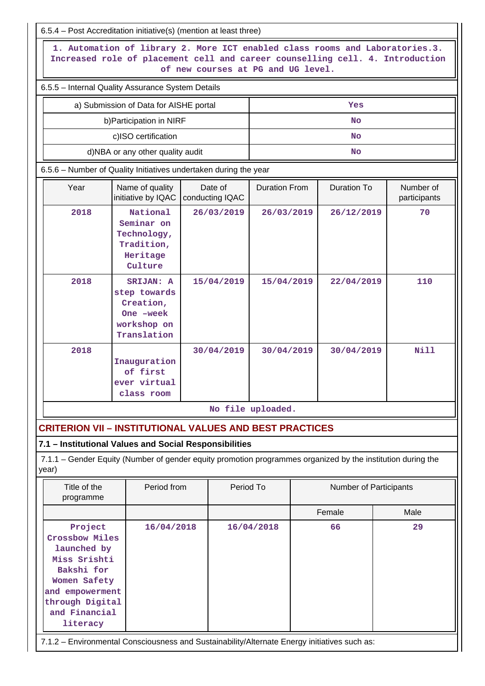|                                                                                                                                                                                                     | 6.5.4 - Post Accreditation initiative(s) (mention at least three)                                           |  |            |                   |           |                               |      |  |
|-----------------------------------------------------------------------------------------------------------------------------------------------------------------------------------------------------|-------------------------------------------------------------------------------------------------------------|--|------------|-------------------|-----------|-------------------------------|------|--|
| 1. Automation of library 2. More ICT enabled class rooms and Laboratories.3.<br>Increased role of placement cell and career counselling cell. 4. Introduction<br>of new courses at PG and UG level. |                                                                                                             |  |            |                   |           |                               |      |  |
|                                                                                                                                                                                                     | 6.5.5 - Internal Quality Assurance System Details                                                           |  |            |                   |           |                               |      |  |
|                                                                                                                                                                                                     | a) Submission of Data for AISHE portal                                                                      |  |            |                   |           | Yes                           |      |  |
|                                                                                                                                                                                                     | b) Participation in NIRF                                                                                    |  |            |                   |           | <b>No</b>                     |      |  |
|                                                                                                                                                                                                     | c)ISO certification                                                                                         |  |            |                   |           | <b>No</b>                     |      |  |
|                                                                                                                                                                                                     | d)NBA or any other quality audit                                                                            |  |            |                   | <b>No</b> |                               |      |  |
|                                                                                                                                                                                                     | 6.5.6 - Number of Quality Initiatives undertaken during the year                                            |  |            |                   |           |                               |      |  |
| Date of<br><b>Duration From</b><br><b>Duration To</b><br>Number of<br>Year<br>Name of quality<br>initiative by IQAC<br>conducting IQAC<br>participants                                              |                                                                                                             |  |            |                   |           |                               |      |  |
| 2018                                                                                                                                                                                                | National<br>Seminar on<br>Technology,<br>Tradition,<br>Heritage<br>Culture                                  |  | 26/03/2019 | 26/03/2019        |           | 26/12/2019                    | 70   |  |
| 2018<br>SRIJAN: A<br>step towards<br>Creation,<br>One -week<br>workshop on<br>Translation                                                                                                           |                                                                                                             |  | 15/04/2019 | 15/04/2019        |           | 22/04/2019                    | 110  |  |
| 2018                                                                                                                                                                                                | Inauguration<br>of first<br>ever virtual<br>class room                                                      |  | 30/04/2019 | 30/04/2019        |           | 30/04/2019                    | Nill |  |
|                                                                                                                                                                                                     |                                                                                                             |  |            | No file uploaded. |           |                               |      |  |
| <b>CRITERION VII - INSTITUTIONAL VALUES AND BEST PRACTICES</b>                                                                                                                                      |                                                                                                             |  |            |                   |           |                               |      |  |
| 7.1 - Institutional Values and Social Responsibilities                                                                                                                                              |                                                                                                             |  |            |                   |           |                               |      |  |
| year)                                                                                                                                                                                               | 7.1.1 – Gender Equity (Number of gender equity promotion programmes organized by the institution during the |  |            |                   |           |                               |      |  |
| Title of the<br>programme                                                                                                                                                                           | Period from                                                                                                 |  | Period To  |                   |           | <b>Number of Participants</b> |      |  |
|                                                                                                                                                                                                     |                                                                                                             |  |            |                   |           | Female                        | Male |  |
| Project<br>16/04/2018<br>66<br>29<br>16/04/2018<br>Crossbow Miles<br>launched by<br>Miss Srishti<br>Bakshi for<br>Women Safety<br>and empowerment<br>through Digital<br>and Financial<br>literacy   |                                                                                                             |  |            |                   |           |                               |      |  |
|                                                                                                                                                                                                     | 7.1.2 - Environmental Consciousness and Sustainability/Alternate Energy initiatives such as:                |  |            |                   |           |                               |      |  |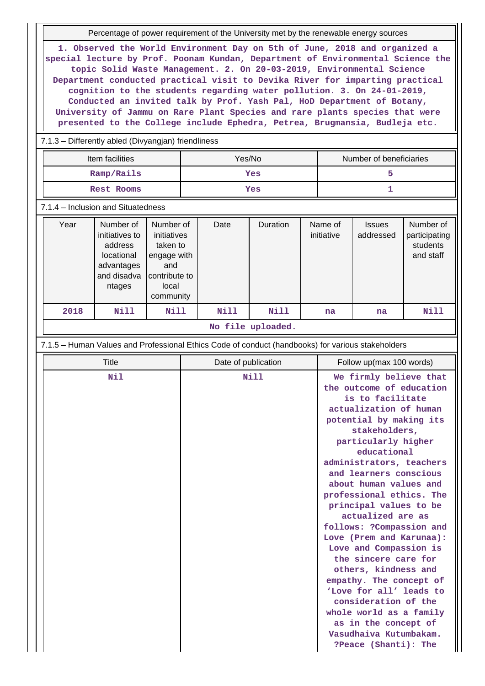Percentage of power requirement of the University met by the renewable energy sources

**1. Observed the World Environment Day on 5th of June, 2018 and organized a special lecture by Prof. Poonam Kundan, Department of Environmental Science the topic Solid Waste Management. 2. On 20-03-2019, Environmental Science Department conducted practical visit to Devika River for imparting practical cognition to the students regarding water pollution. 3. On 24-01-2019, Conducted an invited talk by Prof. Yash Pal, HoD Department of Botany, University of Jammu on Rare Plant Species and rare plants species that were presented to the College include Ephedra, Petrea, Brugmansia, Budleja etc.**

## 7.1.3 – Differently abled (Divyangjan) friendliness

| Item facilities | Yes/No | Number of beneficiaries |
|-----------------|--------|-------------------------|
| Ramp/Rails      | Yes    |                         |
| Rest Rooms      | Yes    |                         |

#### 7.1.4 – Inclusion and Situatedness

| Year | Number of<br>initiatives to<br>address<br>locational<br>advantages<br>and disadva<br>ntages | Number of<br>initiatives<br>taken to<br>engage with<br>and<br>contribute to<br>local<br>community | Date | <b>Duration</b> | Name of<br>initiative | <b>Issues</b><br>addressed | Number of<br>participating<br>students<br>and staff |
|------|---------------------------------------------------------------------------------------------|---------------------------------------------------------------------------------------------------|------|-----------------|-----------------------|----------------------------|-----------------------------------------------------|
| 2018 | Nill                                                                                        | Nill                                                                                              | Nill | Nill            | na                    | na                         | Nill                                                |

#### **No file uploaded.**

#### 7.1.5 – Human Values and Professional Ethics Code of conduct (handbooks) for various stakeholders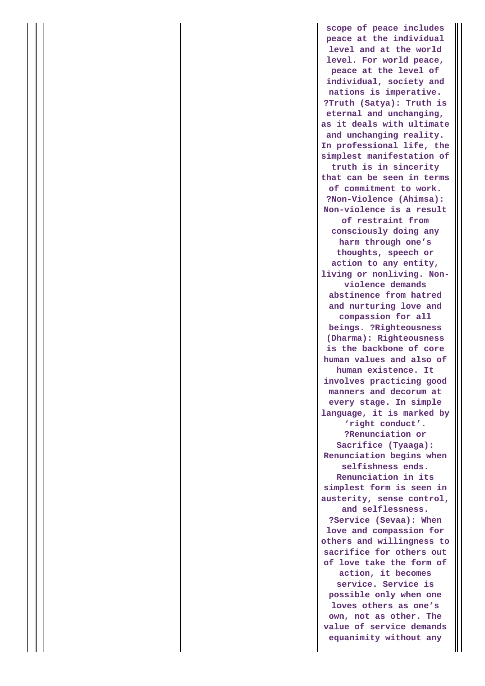**scope of peace includes peace at the individual level and at the world level. For world peace, peace at the level of individual, society and nations is imperative. ?Truth (Satya): Truth is eternal and unchanging, as it deals with ultimate and unchanging reality. In professional life, the simplest manifestation of truth is in sincerity that can be seen in terms of commitment to work. ?Non-Violence (Ahimsa): Non-violence is a result of restraint from consciously doing any harm through one's thoughts, speech or action to any entity, living or nonliving. Nonviolence demands abstinence from hatred and nurturing love and compassion for all beings. ?Righteousness (Dharma): Righteousness is the backbone of core human values and also of human existence. It involves practicing good manners and decorum at every stage. In simple language, it is marked by 'right conduct'. ?Renunciation or Sacrifice (Tyaaga): Renunciation begins when selfishness ends. Renunciation in its simplest form is seen in austerity, sense control, and selflessness. ?Service (Sevaa): When love and compassion for others and willingness to sacrifice for others out of love take the form of action, it becomes service. Service is possible only when one loves others as one's own, not as other. The value of service demands equanimity without any**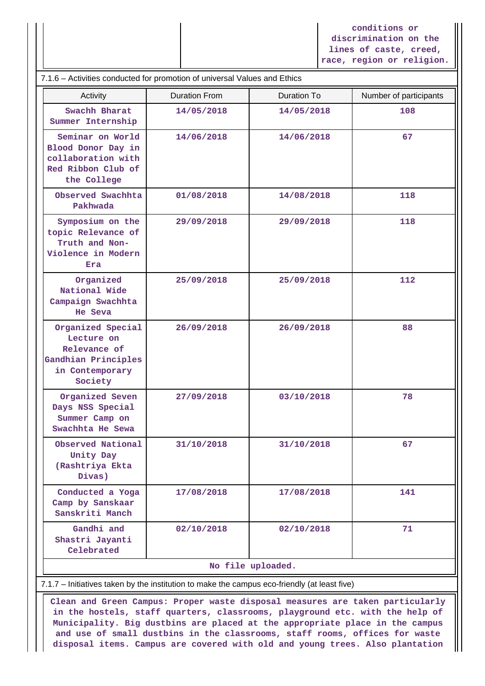**conditions or discrimination on the lines of caste, creed, race, region or religion.**

| 7.1.6 - Activities conducted for promotion of universal Values and Ethics                            |                      |                   |                        |  |  |  |  |  |
|------------------------------------------------------------------------------------------------------|----------------------|-------------------|------------------------|--|--|--|--|--|
| Activity                                                                                             | <b>Duration From</b> | Duration To       | Number of participants |  |  |  |  |  |
| Swachh Bharat<br>Summer Internship                                                                   | 14/05/2018           | 14/05/2018        | 108                    |  |  |  |  |  |
| Seminar on World<br>Blood Donor Day in<br>collaboration with<br>Red Ribbon Club of<br>the College    | 14/06/2018           | 14/06/2018        | 67                     |  |  |  |  |  |
| Observed Swachhta<br>Pakhwada                                                                        | 01/08/2018           | 14/08/2018        | 118                    |  |  |  |  |  |
| Symposium on the<br>topic Relevance of<br>Truth and Non-<br>Violence in Modern<br>Era                | 29/09/2018           | 29/09/2018        | 118                    |  |  |  |  |  |
| Organized<br>National Wide<br>Campaign Swachhta<br>He Seva                                           | 25/09/2018           | 25/09/2018        | 112                    |  |  |  |  |  |
| Organized Special<br>Lecture on<br>Relevance of<br>Gandhian Principles<br>in Contemporary<br>Society | 26/09/2018           | 26/09/2018        | 88                     |  |  |  |  |  |
| Organized Seven<br>Days NSS Special<br>Summer Camp on<br>Swachhta He Sewa                            | 27/09/2018           | 03/10/2018        | 78                     |  |  |  |  |  |
| Observed National<br>Unity Day<br>(Rashtriya Ekta<br>Divas)                                          | 31/10/2018           | 31/10/2018        | 67                     |  |  |  |  |  |
| Conducted a Yoga<br>Camp by Sanskaar<br>Sanskriti Manch                                              | 17/08/2018           | 17/08/2018        | 141                    |  |  |  |  |  |
| Gandhi and<br>Shastri Jayanti<br>Celebrated                                                          | 02/10/2018           | 02/10/2018        | 71                     |  |  |  |  |  |
|                                                                                                      |                      | No file uploaded. |                        |  |  |  |  |  |
| 7.1.7 - Initiatives taken by the institution to make the campus eco-friendly (at least five)         |                      |                   |                        |  |  |  |  |  |

 **Clean and Green Campus: Proper waste disposal measures are taken particularly in the hostels, staff quarters, classrooms, playground etc. with the help of Municipality. Big dustbins are placed at the appropriate place in the campus and use of small dustbins in the classrooms, staff rooms, offices for waste disposal items. Campus are covered with old and young trees. Also plantation**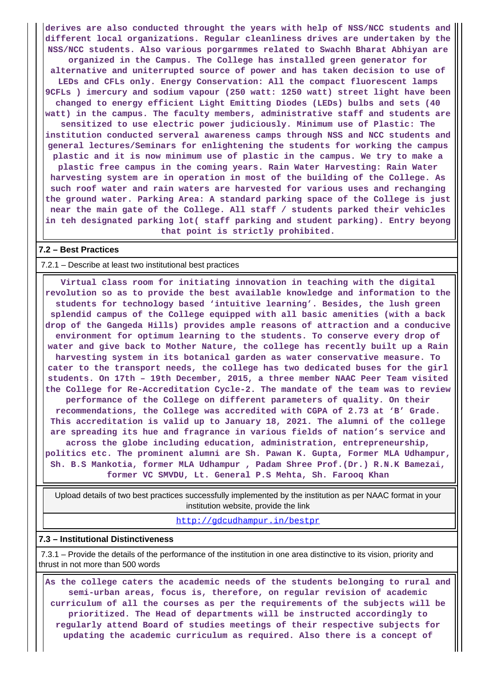**derives are also conducted throught the years with help of NSS/NCC students and different local organizations. Regular cleanliness drives are undertaken by the NSS/NCC students. Also various porgarmmes related to Swachh Bharat Abhiyan are organized in the Campus. The College has installed green generator for alternative and uniterrupted source of power and has taken decision to use of LEDs and CFLs only. Energy Conservation: All the compact fluorescent lamps 9CFLs ) imercury and sodium vapour (250 watt: 1250 watt) street light have been changed to energy efficient Light Emitting Diodes (LEDs) bulbs and sets (40 watt) in the campus. The faculty members, administrative staff and students are sensitized to use electric power judiciously. Minimum use of Plastic: The institution conducted serveral awareness camps through NSS and NCC students and general lectures/Seminars for enlightening the students for working the campus plastic and it is now minimum use of plastic in the campus. We try to make a plastic free campus in the coming years. Rain Water Harvesting: Rain Water harvesting system are in operation in most of the building of the College. As such roof water and rain waters are harvested for various uses and rechanging the ground water. Parking Area: A standard parking space of the College is just near the main gate of the College. All staff / students parked their vehicles in teh designated parking lot( staff parking and student parking). Entry beyong that point is strictly prohibited.**

### **7.2 – Best Practices**

#### 7.2.1 – Describe at least two institutional best practices

 **Virtual class room for initiating innovation in teaching with the digital revolution so as to provide the best available knowledge and information to the students for technology based 'intuitive learning'. Besides, the lush green splendid campus of the College equipped with all basic amenities (with a back drop of the Gangeda Hills) provides ample reasons of attraction and a conducive environment for optimum learning to the students. To conserve every drop of water and give back to Mother Nature, the college has recently built up a Rain harvesting system in its botanical garden as water conservative measure. To cater to the transport needs, the college has two dedicated buses for the girl students. On 17th – 19th December, 2015, a three member NAAC Peer Team visited the College for Re-Accreditation Cycle-2. The mandate of the team was to review performance of the College on different parameters of quality. On their recommendations, the College was accredited with CGPA of 2.73 at 'B' Grade. This accreditation is valid up to January 18, 2021. The alumni of the college are spreading its hue and fragrance in various fields of nation's service and across the globe including education, administration, entrepreneurship, politics etc. The prominent alumni are Sh. Pawan K. Gupta, Former MLA Udhampur, Sh. B.S Mankotia, former MLA Udhampur , Padam Shree Prof.(Dr.) R.N.K Bamezai, former VC SMVDU, Lt. General P.S Mehta, Sh. Farooq Khan**

 Upload details of two best practices successfully implemented by the institution as per NAAC format in your institution website, provide the link

#### <http://gdcudhampur.in/bestpr>

#### **7.3 – Institutional Distinctiveness**

 7.3.1 – Provide the details of the performance of the institution in one area distinctive to its vision, priority and thrust in not more than 500 words

 **As the college caters the academic needs of the students belonging to rural and semi-urban areas, focus is, therefore, on regular revision of academic curriculum of all the courses as per the requirements of the subjects will be prioritized. The Head of departments will be instructed accordingly to regularly attend Board of studies meetings of their respective subjects for updating the academic curriculum as required. Also there is a concept of**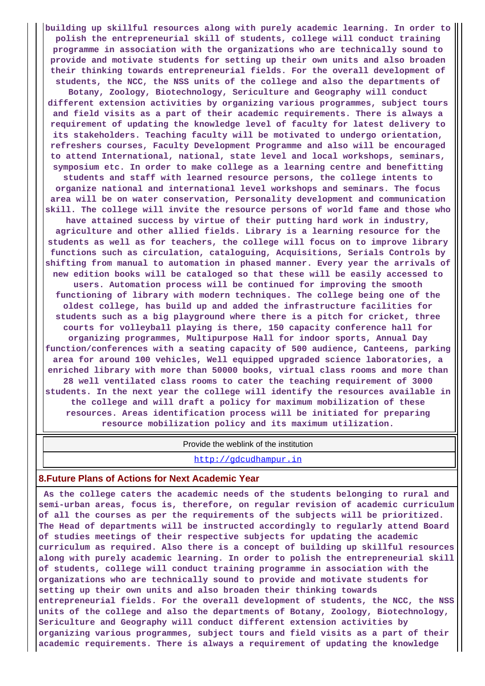**building up skillful resources along with purely academic learning. In order to polish the entrepreneurial skill of students, college will conduct training programme in association with the organizations who are technically sound to provide and motivate students for setting up their own units and also broaden their thinking towards entrepreneurial fields. For the overall development of students, the NCC, the NSS units of the college and also the departments of Botany, Zoology, Biotechnology, Sericulture and Geography will conduct different extension activities by organizing various programmes, subject tours and field visits as a part of their academic requirements. There is always a requirement of updating the knowledge level of faculty for latest delivery to its stakeholders. Teaching faculty will be motivated to undergo orientation, refreshers courses, Faculty Development Programme and also will be encouraged to attend International, national, state level and local workshops, seminars, symposium etc. In order to make college as a learning centre and benefitting students and staff with learned resource persons, the college intents to organize national and international level workshops and seminars. The focus area will be on water conservation, Personality development and communication skill. The college will invite the resource persons of world fame and those who have attained success by virtue of their putting hard work in industry, agriculture and other allied fields. Library is a learning resource for the students as well as for teachers, the college will focus on to improve library functions such as circulation, cataloguing, Acquisitions, Serials Controls by shifting from manual to automation in phased manner. Every year the arrivals of new edition books will be cataloged so that these will be easily accessed to users. Automation process will be continued for improving the smooth functioning of library with modern techniques. The college being one of the oldest college, has build up and added the infrastructure facilities for students such as a big playground where there is a pitch for cricket, three courts for volleyball playing is there, 150 capacity conference hall for organizing programmes, Multipurpose Hall for indoor sports, Annual Day function/conferences with a seating capacity of 500 audience, Canteens, parking area for around 100 vehicles, Well equipped upgraded science laboratories, a enriched library with more than 50000 books, virtual class rooms and more than 28 well ventilated class rooms to cater the teaching requirement of 3000 students. In the next year the college will identify the resources available in the college and will draft a policy for maximum mobilization of these resources. Areas identification process will be initiated for preparing resource mobilization policy and its maximum utilization.**

Provide the weblink of the institution

<http://gdcudhampur.in>

# **8.Future Plans of Actions for Next Academic Year**

 **As the college caters the academic needs of the students belonging to rural and semi-urban areas, focus is, therefore, on regular revision of academic curriculum of all the courses as per the requirements of the subjects will be prioritized. The Head of departments will be instructed accordingly to regularly attend Board of studies meetings of their respective subjects for updating the academic curriculum as required. Also there is a concept of building up skillful resources along with purely academic learning. In order to polish the entrepreneurial skill of students, college will conduct training programme in association with the organizations who are technically sound to provide and motivate students for setting up their own units and also broaden their thinking towards entrepreneurial fields. For the overall development of students, the NCC, the NSS units of the college and also the departments of Botany, Zoology, Biotechnology, Sericulture and Geography will conduct different extension activities by organizing various programmes, subject tours and field visits as a part of their academic requirements. There is always a requirement of updating the knowledge**